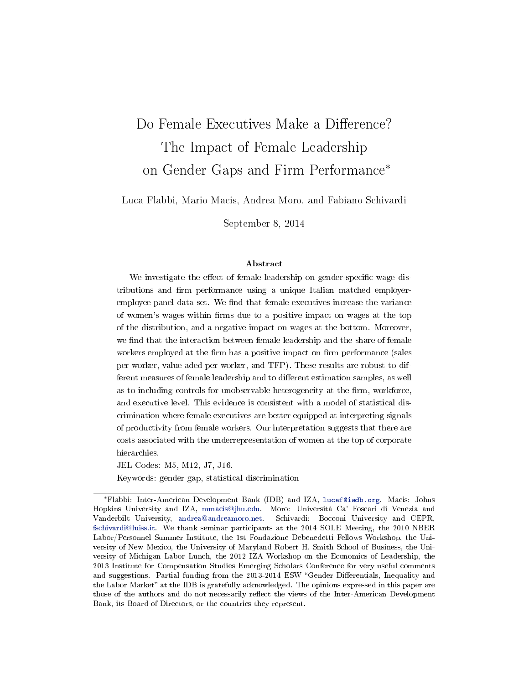# Do Female Executives Make a Difference? The Impact of Female Leadership on Gender Gaps and Firm Performance<sup>∗</sup>

Luca Flabbi, Mario Macis, Andrea Moro, and Fabiano Schivardi

September 8, 2014

#### Abstract

We investigate the effect of female leadership on gender-specific wage distributions and firm performance using a unique Italian matched employeremployee panel data set. We find that female executives increase the variance of women's wages within firms due to a positive impact on wages at the top of the distribution, and a negative impact on wages at the bottom. Moreover, we find that the interaction between female leadership and the share of female workers employed at the firm has a positive impact on firm performance (sales per worker, value aded per worker, and TFP). These results are robust to different measures of female leadership and to different estimation samples, as well as to including controls for unobservable heterogeneity at the firm, workforce, and executive level. This evidence is consistent with a model of statistical discrimination where female executives are better equipped at interpreting signals of productivity from female workers. Our interpretation suggests that there are costs associated with the underrepresentation of women at the top of corporate hierarchies.

JEL Codes: M5, M12, J7, J16.

Keywords: gender gap, statistical discrimination

<sup>∗</sup>Flabbi: Inter-American Development Bank (IDB) and IZA, [lucaf@iadb.org.](mailto:lucaf@iadb.org) Macis: Johns Hopkins University and IZA, [mmacis@jhu.edu.](mailto:mmacis@jhu.edu) Moro: Università Ca' Foscari di Venezia and Vanderbilt University, [andrea@andreamoro.net.](mailto:andrea@andreamoro.net) Schivardi: Bocconi University and CEPR, [fschivardi@luiss.it.](mailto:fschivardi@luiss.it) We thank seminar participants at the 2014 SOLE Meeting, the 2010 NBER Labor/Personnel Summer Institute, the 1st Fondazione Debenedetti Fellows Workshop, the University of New Mexico, the University of Maryland Robert H. Smith School of Business, the University of Michigan Labor Lunch, the 2012 IZA Workshop on the Economics of Leadership, the 2013 Institute for Compensation Studies Emerging Scholars Conference for very useful comments and suggestions. Partial funding from the 2013-2014 ESW "Gender Differentials, Inequality and the Labor Market" at the IDB is gratefully acknowledged. The opinions expressed in this paper are those of the authors and do not necessarily reflect the views of the Inter-American Development Bank, its Board of Directors, or the countries they represent.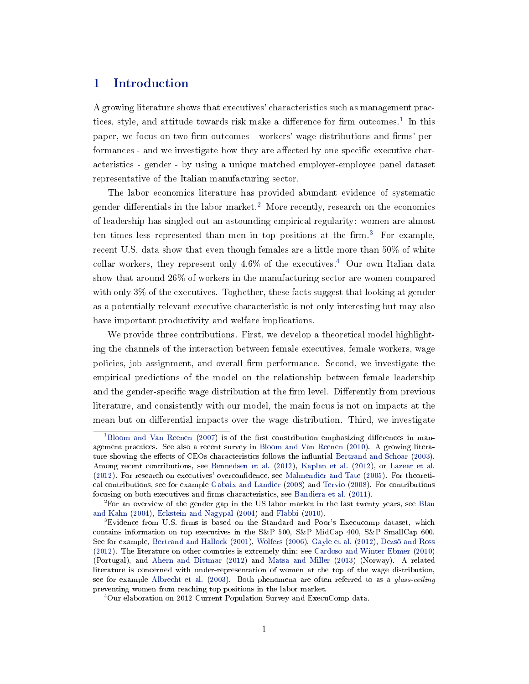# 1 Introduction

A growing literature shows that executives' characteristics such as management prac-tices, style, and attitude towards risk make a difference for firm outcomes.<sup>[1](#page-1-0)</sup> In this paper, we focus on two firm outcomes - workers' wage distributions and firms' performances - and we investigate how they are affected by one specific executive characteristics - gender - by using a unique matched employer-employee panel dataset representative of the Italian manufacturing sector.

The labor economics literature has provided abundant evidence of systematic gender differentials in the labor market.<sup>[2](#page-1-1)</sup> More recently, research on the economics of leadership has singled out an astounding empirical regularity: women are almost ten times less represented than men in top positions at the  $firm^3$  $firm^3$  For example, recent U.S. data show that even though females are a little more than 50% of white collar workers, they represent only  $4.6\%$  $4.6\%$  of the executives.<sup>4</sup> Our own Italian data show that around 26% of workers in the manufacturing sector are women compared with only 3% of the executives. Toghether, these facts suggest that looking at gender as a potentially relevant executive characteristic is not only interesting but may also have important productivity and welfare implications.

We provide three contributions. First, we develop a theoretical model highlighting the channels of the interaction between female executives, female workers, wage policies, job assignment, and overall firm performance. Second, we investigate the empirical predictions of the model on the relationship between female leadership and the gender-specific wage distribution at the firm level. Differently from previous literature, and consistently with our model, the main focus is not on impacts at the mean but on differential impacts over the wage distribution. Third, we investigate

<span id="page-1-0"></span> $1B$ loom and Van Reenen [\(2007\)](#page-36-0) is of the first constribution emphasizing differences in management practices. See also a recent survey in [Bloom and Van Reenen](#page-36-1) [\(2010\)](#page-36-1). A growing litera-ture showing the effects of CEOs characteristics follows the influntial [Bertrand and Schoar](#page-35-0) [\(2003\)](#page-35-0). Among recent contributions, see [Bennedsen et al.](#page-35-1) [\(2012\)](#page-35-1), [Kaplan et al.](#page-37-0) [\(2012\)](#page-37-0), or [Lazear et al.](#page-37-1) [\(2012\)](#page-37-1). For research on executives' overcondence, see [Malmendier and Tate](#page-37-2) [\(2005\)](#page-37-2). For theoretical contributions, see for example [Gabaix and Landier](#page-37-3) [\(2008\)](#page-37-3) and [Tervio](#page-38-0) [\(2008\)](#page-38-0). For contributions focusing on both executives and firms characteristics, see [Bandiera et al.](#page-35-2) [\(2011\)](#page-35-2).

<span id="page-1-1"></span><sup>2</sup>For an overview of the gender gap in the US labor market in the last twenty years, see [Blau](#page-36-2) [and Kahn](#page-36-2) [\(2004\)](#page-36-2), [Eckstein and Nagypal](#page-36-3) [\(2004\)](#page-36-3) and [Flabbi](#page-37-4) [\(2010\)](#page-37-4).

<span id="page-1-2"></span> $3E$ vidence from U.S. firms is based on the Standard and Poor's Execucomp dataset, which contains information on top executives in the S&P 500, S&P MidCap 400, S&P SmallCap 600. See for example, [Bertrand and Hallock](#page-36-4) [\(2001\)](#page-36-4), [Wolfers](#page-38-1) [\(2006\)](#page-38-1), [Gayle et al.](#page-37-5) [\(2012\)](#page-37-5), [Dezsö and Ross](#page-36-5) [\(2012\)](#page-36-5). The literature on other countries is extremely thin: see [Cardoso and Winter-Ebmer](#page-36-6) [\(2010\)](#page-36-6) (Portugal), and [Ahern and Dittmar](#page-35-3) [\(2012\)](#page-35-3) and [Matsa and Miller](#page-38-2) [\(2013\)](#page-38-2) (Norway). A related literature is concerned with under-representation of women at the top of the wage distribution, see for example [Albrecht et al.](#page-35-4) [\(2003\)](#page-35-4). Both phenomena are often referred to as a glass-ceiling preventing women from reaching top positions in the labor market.

<span id="page-1-3"></span><sup>&</sup>lt;sup>4</sup>Our elaboration on 2012 Current Population Survey and ExecuComp data.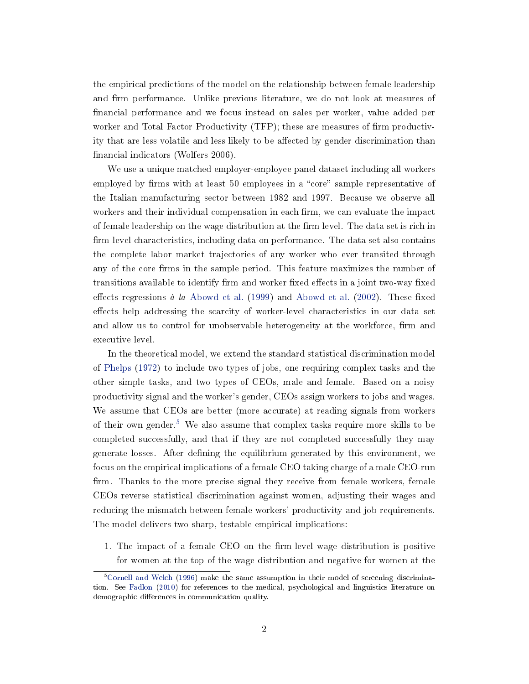the empirical predictions of the model on the relationship between female leadership and firm performance. Unlike previous literature, we do not look at measures of financial performance and we focus instead on sales per worker, value added per worker and Total Factor Productivity  $(TFP)$ ; these are measures of firm productivity that are less volatile and less likely to be affected by gender discrimination than financial indicators (Wolfers 2006).

We use a unique matched employer-employee panel dataset including all workers employed by firms with at least 50 employees in a "core" sample representative of the Italian manufacturing sector between 1982 and 1997. Because we observe all workers and their individual compensation in each firm, we can evaluate the impact of female leadership on the wage distribution at the firm level. The data set is rich in firm-level characteristics, including data on performance. The data set also contains the complete labor market trajectories of any worker who ever transited through any of the core firms in the sample period. This feature maximizes the number of transitions available to identify firm and worker fixed effects in a joint two-way fixed effects regressions à la [Abowd et al.](#page-35-6) [\(1999\)](#page-35-5) and Abowd et al. [\(2002\)](#page-35-6). These fixed effects help addressing the scarcity of worker-level characteristics in our data set and allow us to control for unobservable heterogeneity at the workforce, firm and executive level.

In the theoretical model, we extend the standard statistical discrimination model of [Phelps](#page-38-3) [\(1972\)](#page-38-3) to include two types of jobs, one requiring complex tasks and the other simple tasks, and two types of CEOs, male and female. Based on a noisy productivity signal and the worker's gender, CEOs assign workers to jobs and wages. We assume that CEOs are better (more accurate) at reading signals from workers of their own gender.[5](#page-2-0) We also assume that complex tasks require more skills to be completed successfully, and that if they are not completed successfully they may generate losses. After defining the equilibrium generated by this environment, we focus on the empirical implications of a female CEO taking charge of a male CEO-run firm. Thanks to the more precise signal they receive from female workers, female CEOs reverse statistical discrimination against women, adjusting their wages and reducing the mismatch between female workers' productivity and job requirements. The model delivers two sharp, testable empirical implications:

1. The impact of a female CEO on the firm-level wage distribution is positive for women at the top of the wage distribution and negative for women at the

<span id="page-2-0"></span> $5Cornell$  and Welch [\(1996\)](#page-36-7) make the same assumption in their model of screening discrimination. See [Fadlon](#page-36-8) [\(2010\)](#page-36-8) for references to the medical, psychological and linguistics literature on demographic differences in communication quality.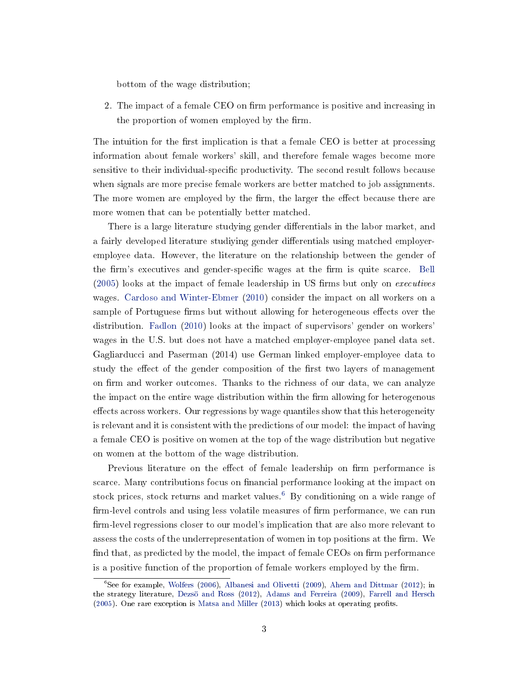bottom of the wage distribution;

2. The impact of a female CEO on firm performance is positive and increasing in the proportion of women employed by the firm.

The intuition for the first implication is that a female CEO is better at processing information about female workers' skill, and therefore female wages become more sensitive to their individual-specific productivity. The second result follows because when signals are more precise female workers are better matched to job assignments. The more women are employed by the firm, the larger the effect because there are more women that can be potentially better matched.

There is a large literature studying gender differentials in the labor market, and a fairly developed literature studiying gender differentials using matched employeremployee data. However, the literature on the relationship between the gender of the firm's executives and gender-specific wages at the firm is quite scarce. [Bell](#page-35-7)  $(2005)$  looks at the impact of female leadership in US firms but only on *executives* wages. [Cardoso and Winter-Ebmer](#page-36-6) [\(2010\)](#page-36-6) consider the impact on all workers on a sample of Portuguese firms but without allowing for heterogeneous effects over the distribution. [Fadlon](#page-36-8) [\(2010\)](#page-36-8) looks at the impact of supervisors' gender on workers' wages in the U.S. but does not have a matched employer-employee panel data set. Gagliarducci and Paserman (2014) use German linked employer-employee data to study the effect of the gender composition of the first two layers of management on firm and worker outcomes. Thanks to the richness of our data, we can analyze the impact on the entire wage distribution within the firm allowing for heterogenous effects across workers. Our regressions by wage quantiles show that this heterogeneity is relevant and it is consistent with the predictions of our model: the impact of having a female CEO is positive on women at the top of the wage distribution but negative on women at the bottom of the wage distribution.

Previous literature on the effect of female leadership on firm performance is scarce. Many contributions focus on financial performance looking at the impact on stock prices, stock returns and market values.<sup>[6](#page-3-0)</sup> By conditioning on a wide range of firm-level controls and using less volatile measures of firm performance, we can run firm-level regressions closer to our model's implication that are also more relevant to assess the costs of the underrepresentation of women in top positions at the firm. We find that, as predicted by the model, the impact of female CEOs on firm performance is a positive function of the proportion of female workers employed by the firm.

<span id="page-3-0"></span> ${}^{6}$ See for example, [Wolfers](#page-38-1) [\(2006\)](#page-38-1), [Albanesi and Olivetti](#page-35-8) [\(2009\)](#page-35-8), [Ahern and Dittmar](#page-35-3) [\(2012\)](#page-35-3); in the strategy literature, [Dezsö and Ross](#page-36-5) [\(2012\)](#page-36-5), [Adams and Ferreira](#page-35-9) [\(2009\)](#page-35-9), [Farrell and Hersch](#page-37-6) [\(2005\)](#page-37-6). One rare exception is [Matsa and Miller](#page-38-2) [\(2013\)](#page-38-2) which looks at operating profits.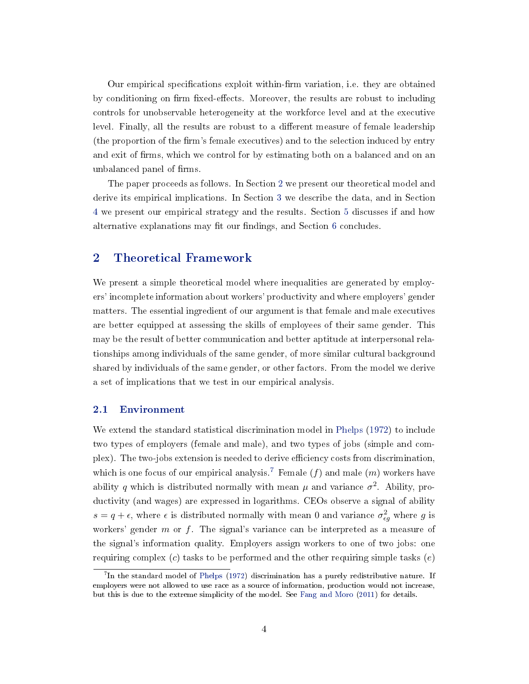Our empirical specifications exploit within-firm variation, i.e. they are obtained by conditioning on firm fixed-effects. Moreover, the results are robust to including controls for unobservable heterogeneity at the workforce level and at the executive level. Finally, all the results are robust to a different measure of female leadership (the proportion of the firm's female executives) and to the selection induced by entry and exit of firms, which we control for by estimating both on a balanced and on an unbalanced panel of firms.

The paper proceeds as follows. In Section [2](#page-4-0) we present our theoretical model and derive its empirical implications. In Section [3](#page-10-0) we describe the data, and in Section [4](#page-16-0) we present our empirical strategy and the results. Section [5](#page-27-0) discusses if and how alternative explanations may fit our findings, and Section [6](#page-29-0) concludes.

# <span id="page-4-0"></span>2 Theoretical Framework

We present a simple theoretical model where inequalities are generated by employers' incomplete information about workers' productivity and where employers' gender matters. The essential ingredient of our argument is that female and male executives are better equipped at assessing the skills of employees of their same gender. This may be the result of better communication and better aptitude at interpersonal relationships among individuals of the same gender, of more similar cultural background shared by individuals of the same gender, or other factors. From the model we derive a set of implications that we test in our empirical analysis.

### 2.1 Environment

We extend the standard statistical discrimination model in [Phelps](#page-38-3) [\(1972\)](#page-38-3) to include two types of employers (female and male), and two types of jobs (simple and complex). The two-jobs extension is needed to derive efficiency costs from discrimination, which is one focus of our empirical analysis.<sup>[7](#page-4-1)</sup> Female  $(f)$  and male  $(m)$  workers have ability q which is distributed normally with mean  $\mu$  and variance  $\sigma^2$ . Ability, productivity (and wages) are expressed in logarithms. CEOs observe a signal of ability  $s = q + \epsilon$ , where  $\epsilon$  is distributed normally with mean 0 and variance  $\sigma_{\epsilon g}^2$  where g is workers' gender  $m$  or  $f$ . The signal's variance can be interpreted as a measure of the signal's information quality. Employers assign workers to one of two jobs: one requiring complex  $(c)$  tasks to be performed and the other requiring simple tasks  $(e)$ 

<span id="page-4-1"></span> $^{7}$ In the standard model of [Phelps](#page-38-3) [\(1972\)](#page-38-3) discrimination has a purely redistributive nature. If employers were not allowed to use race as a source of information, production would not increase, but this is due to the extreme simplicity of the model. See [Fang and Moro](#page-37-7) [\(2011\)](#page-37-7) for details.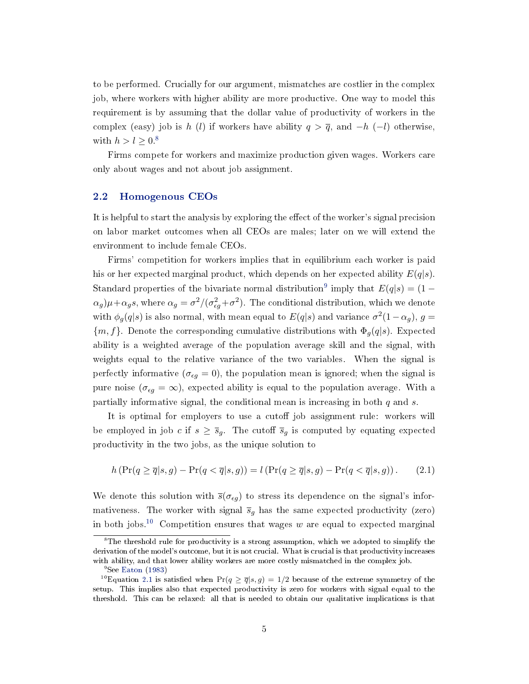to be performed. Crucially for our argument, mismatches are costlier in the complex job, where workers with higher ability are more productive. One way to model this requirement is by assuming that the dollar value of productivity of workers in the complex (easy) job is h (l) if workers have ability  $q > \overline{q}$ , and  $-h$  (-l) otherwise, with  $h > l \geq 0^8$  $h > l \geq 0^8$ 

Firms compete for workers and maximize production given wages. Workers care only about wages and not about job assignment.

## 2.2 Homogenous CEOs

It is helpful to start the analysis by exploring the effect of the worker's signal precision on labor market outcomes when all CEOs are males; later on we will extend the environment to include female CEOs.

Firms' competition for workers implies that in equilibrium each worker is paid his or her expected marginal product, which depends on her expected ability  $E(q|s)$ . Standard properties of the bivariate normal distribution<sup>[9](#page-5-1)</sup> imply that  $E(q|s) = (1 (\alpha_g)\mu+\alpha_g s$ , where  $\alpha_g=\sigma^2/(\sigma_{eg}^2+\sigma^2)$ . The conditional distribution, which we denote with  $\phi_g(q|s)$  is also normal, with mean equal to  $E(q|s)$  and variance  $\sigma^2(1-\alpha_g)$ ,  $g=$  ${m, f}$ . Denote the corresponding cumulative distributions with  $\Phi_q(q|s)$ . Expected ability is a weighted average of the population average skill and the signal, with weights equal to the relative variance of the two variables. When the signal is perfectly informative ( $\sigma_{\epsilon g} = 0$ ), the population mean is ignored; when the signal is pure noise  $(\sigma_{\epsilon g} = \infty)$ , expected ability is equal to the population average. With a partially informative signal, the conditional mean is increasing in both  $q$  and  $s$ .

It is optimal for employers to use a cutoff job assignment rule: workers will be employed in job c if  $s \geq \overline{s}_g$ . The cutoff  $\overline{s}_g$  is computed by equating expected productivity in the two jobs, as the unique solution to

<span id="page-5-3"></span>
$$
h\left(\Pr(q \ge \overline{q}|s,g) - \Pr(q < \overline{q}|s,g)\right) = l\left(\Pr(q \ge \overline{q}|s,g) - \Pr(q < \overline{q}|s,g)\right). \tag{2.1}
$$

We denote this solution with  $\bar{s}(\sigma_{\epsilon g})$  to stress its dependence on the signal's informativeness. The worker with signal  $\bar{s}_g$  has the same expected productivity (zero) in both jobs.<sup>[10](#page-5-2)</sup> Competition ensures that wages w are equal to expected marginal

<span id="page-5-0"></span> ${}^{8}$ The threshold rule for productivity is a strong assumption, which we adopted to simplify the derivation of the model's outcome, but it is not crucial. What is crucial is that productivity increases with ability, and that lower ability workers are more costly mismatched in the complex job.

<span id="page-5-2"></span><span id="page-5-1"></span><sup>&</sup>lt;sup>9</sup>See [Eaton](#page-36-9) [\(1983\)](#page-36-9)

<sup>&</sup>lt;sup>10</sup>Equation [2.1](#page-5-3) is satisfied when  $Pr(q \geq \overline{q} | s, g) = 1/2$  because of the extreme symmetry of the setup. This implies also that expected productivity is zero for workers with signal equal to the threshold. This can be relaxed: all that is needed to obtain our qualitative implications is that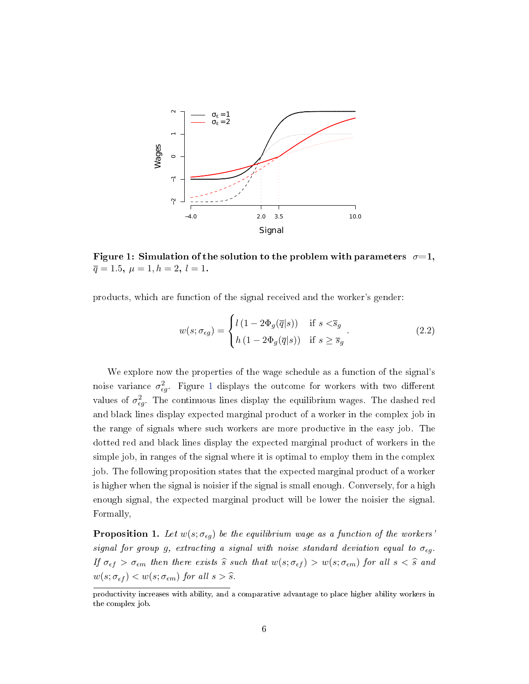<span id="page-6-0"></span>

Figure 1: Simulation of the solution to the problem with parameters  $\sigma=1$ ,  $\overline{q} = 1.5, \ \mu = 1, h = 2, \ l = 1.$ 

products, which are function of the signal received and the worker's gender:

<span id="page-6-2"></span>
$$
w(s; \sigma_{\epsilon g}) = \begin{cases} l(1 - 2\Phi_g(\overline{q}|s)) & \text{if } s < \overline{s}_g \\ h(1 - 2\Phi_g(\overline{q}|s)) & \text{if } s \ge \overline{s}_g \end{cases}.
$$
 (2.2)

We explore now the properties of the wage schedule as a function of the signal's noise variance  $\sigma_{\epsilon g}^2$ . Figure [1](#page-6-0) displays the outcome for workers with two different values of  $\sigma_{eg}^2$ . The continuous lines display the equilibrium wages. The dashed red and black lines display expected marginal product of a worker in the complex job in the range of signals where such workers are more productive in the easy job. The dotted red and black lines display the expected marginal product of workers in the simple job, in ranges of the signal where it is optimal to employ them in the complex job. The following proposition states that the expected marginal product of a worker is higher when the signal is noisier if the signal is small enough. Conversely, for a high enough signal, the expected marginal product will be lower the noisier the signal. Formally,

<span id="page-6-1"></span>**Proposition 1.** Let  $w(s; \sigma_{\epsilon q})$  be the equilibrium wage as a function of the workers' signal for group g, extracting a signal with noise standard deviation equal to  $\sigma_{\epsilon g}$ . If  $\sigma_{\epsilon f} > \sigma_{\epsilon m}$  then there exists  $\hat{s}$  such that  $w(s; \sigma_{\epsilon f}) > w(s; \sigma_{\epsilon m})$  for all  $s < \hat{s}$  and  $w(s; \sigma_{\epsilon f}) < w(s; \sigma_{\epsilon m})$  for all  $s > \hat{s}$ .

productivity increases with ability, and a comparative advantage to place higher ability workers in the complex job.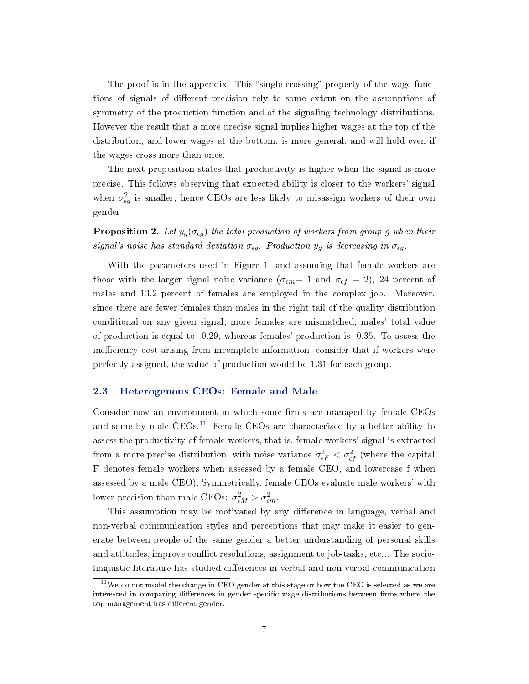The proof is in the appendix. This "single-crossing" property of the wage functions of signals of different precision rely to some extent on the assumptions of symmetry of the production function and of the signaling technology distributions. However the result that a more precise signal implies higher wages at the top of the distribution, and lower wages at the bottom, is more general, and will hold even if the wages cross more than once.

The next proposition states that productivity is higher when the signal is more precise. This follows observing that expected ability is closer to the workers' signal when  $\sigma_{\epsilon g}^2$  is smaller, hence CEOs are less likely to misassign workers of their own gender

<span id="page-7-1"></span>**Proposition 2.** Let  $y_g(\sigma_{\epsilon g})$  the total production of workers from group g when their signal's noise has standard deviation  $\sigma_{\epsilon g}$ . Production  $y_g$  is decreasing in  $\sigma_{\epsilon g}$ .

With the parameters used in Figure [1,](#page-6-0) and assuming that female workers are those with the larger signal noise variance  $(\sigma_{\epsilon m} = 1 \text{ and } \sigma_{\epsilon f} = 2)$ , 24 percent of males and 13.2 percent of females are employed in the complex job. Moreover, since there are fewer females than males in the right tail of the quality distribution conditional on any given signal, more females are mismatched; males' total value of production is equal to -0.29, whereas females' production is -0.35. To assess the inefficiency cost arising from incomplete information, consider that if workers were perfectly assigned, the value of production would be 1.31 for each group.

## 2.3 Heterogenous CEOs: Female and Male

Consider now an environment in which some firms are managed by female CEOs and some by male  $CEOs$ <sup>[11](#page-7-0)</sup> Female CEOs are characterized by a better ability to assess the productivity of female workers, that is, female workers' signal is extracted from a more precise distribution, with noise variance  $\sigma_{\epsilon F}^2 < \sigma_{\epsilon f}^2$  (where the capital F denotes female workers when assessed by a female CEO, and lowercase f when assessed by a male CEO). Symmetrically, female CEOs evaluate male workers' with lower precision than male CEOs:  $\sigma_{\epsilon M}^2 > \sigma_{\epsilon m}^2$ .

This assumption may be motivated by any difference in language, verbal and non-verbal communication styles and perceptions that may make it easier to generate between people of the same gender a better understanding of personal skills and attitudes, improve conflict resolutions, assignment to job-tasks, etc... The sociolinguistic literature has studied differences in verbal and non-verbal communication

<span id="page-7-0"></span> $11$ We do not model the change in CEO gender at this stage or how the CEO is selected as we are interested in comparing differences in gender-specific wage distributions between firms where the top management has different gender.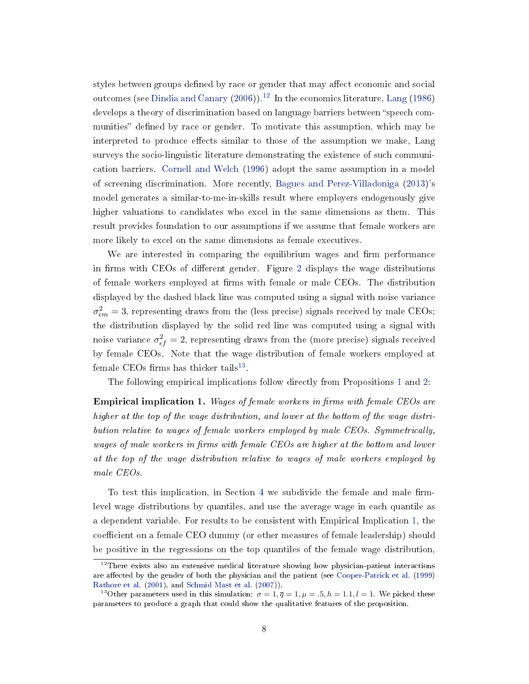styles between groups defined by race or gender that may affect economic and social outcomes (see [Dindia and Canary](#page-36-10)  $(2006)$ ).<sup>[12](#page-8-0)</sup> In the economics literature, [Lang](#page-37-8) [\(1986\)](#page-37-8) develops a theory of discrimination based on language barriers between "speech communities" defined by race or gender. To motivate this assumption, which may be interpreted to produce effects similar to those of the assumption we make, Lang surveys the socio-linguistic literature demonstrating the existence of such communication barriers. [Cornell and Welch](#page-36-7) [\(1996\)](#page-36-7) adopt the same assumption in a model of screening discrimination. More recently, [Bagues and Perez-Villadoniga](#page-35-10) [\(2013\)](#page-35-10)'s model generates a similar-to-me-in-skills result where employers endogenously give higher valuations to candidates who excel in the same dimensions as them. This result provides foundation to our assumptions if we assume that female workers are more likely to excel on the same dimensions as female executives.

We are interested in comparing the equilibrium wages and firm performance in firms with CEOs of different gender. Figure [2](#page-9-0) displays the wage distributions of female workers employed at firms with female or male CEOs. The distribution displayed by the dashed black line was computed using a signal with noise variance  $\sigma_{em}^2 = 3$ , representing draws from the (less precise) signals received by male CEOs; the distribution displayed by the solid red line was computed using a signal with noise variance  $\sigma_{\epsilon f}^2 = 2$ , representing draws from the (more precise) signals received by female CEOs. Note that the wage distribution of female workers employed at female CEOs firms has thicker tails<sup>[13](#page-8-1)</sup>.

The following empirical implications follow directly from Propositions [1](#page-6-1) and [2:](#page-7-1)

<span id="page-8-2"></span>**Empirical implication 1.** Wages of female workers in firms with female CEOs are higher at the top of the wage distribution, and lower at the bottom of the wage distribution relative to wages of female workers employed by male CEOs. Symmetrically, wages of male workers in firms with female CEOs are higher at the bottom and lower at the top of the wage distribution relative to wages of male workers employed by male CEOs.

To test this implication, in Section [4](#page-16-0) we subdivide the female and male firmlevel wage distributions by quantiles, and use the average wage in each quantile as a dependent variable. For results to be consistent with Empirical Implication [1,](#page-8-2) the coefficient on a female CEO dummy (or other measures of female leadership) should be positive in the regressions on the top quantiles of the female wage distribution,

<span id="page-8-0"></span> $12$ There exists also an extensive medical literature showing how physician-patient interactions are affected by the gender of both the physician and the patient (see [Cooper-Patrick et al.](#page-36-11) [\(1999\)](#page-36-11) [Rathore et al.](#page-38-4) [\(2001\)](#page-38-4), and [Schmid Mast et al.](#page-37-9) [\(2007\)](#page-37-9)).

<span id="page-8-1"></span><sup>&</sup>lt;sup>13</sup>Other parameters used in this simulation:  $\sigma = 1, \overline{q} = 1, \mu = .5, h = 1.1, l = 1$ . We picked these parameters to produce a graph that could show the qualitative features of the proposition.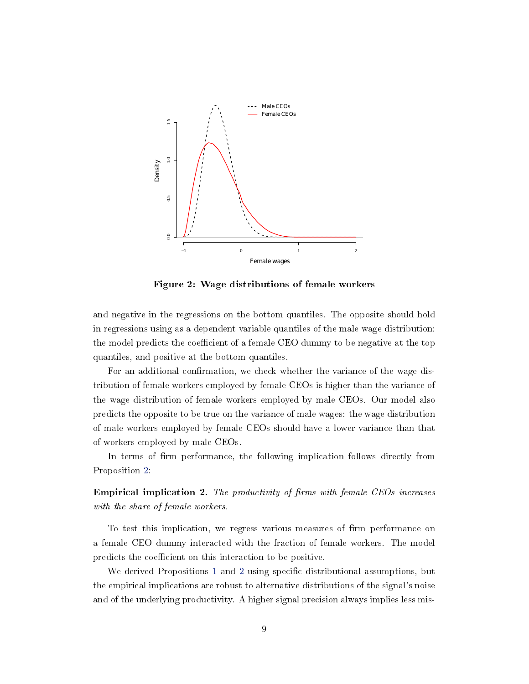<span id="page-9-0"></span>

Figure 2: Wage distributions of female workers

and negative in the regressions on the bottom quantiles. The opposite should hold in regressions using as a dependent variable quantiles of the male wage distribution: the model predicts the coefficient of a female CEO dummy to be negative at the top quantiles, and positive at the bottom quantiles.

For an additional confirmation, we check whether the variance of the wage distribution of female workers employed by female CEOs is higher than the variance of the wage distribution of female workers employed by male CEOs. Our model also predicts the opposite to be true on the variance of male wages: the wage distribution of male workers employed by female CEOs should have a lower variance than that of workers employed by male CEOs.

In terms of firm performance, the following implication follows directly from Proposition [2:](#page-7-1)

<span id="page-9-1"></span>**Empirical implication 2.** The productivity of firms with female CEOs increases with the share of female workers.

To test this implication, we regress various measures of firm performance on a female CEO dummy interacted with the fraction of female workers. The model predicts the coefficient on this interaction to be positive.

We derived Propositions [1](#page-6-1) and [2](#page-7-1) using specific distributional assumptions, but the empirical implications are robust to alternative distributions of the signal's noise and of the underlying productivity. A higher signal precision always implies less mis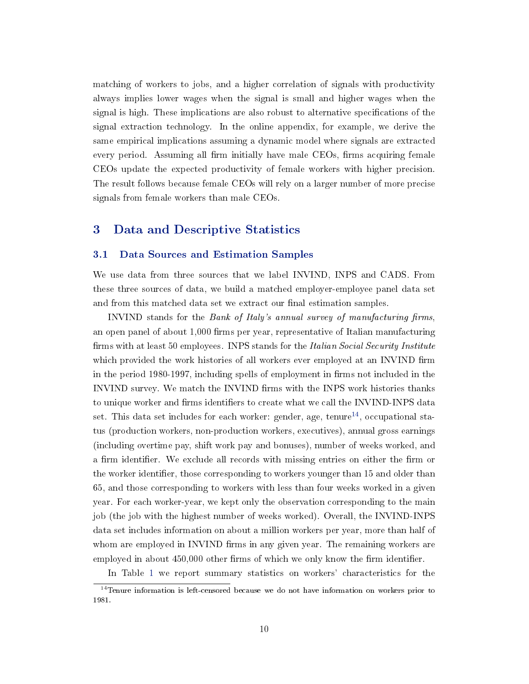matching of workers to jobs, and a higher correlation of signals with productivity always implies lower wages when the signal is small and higher wages when the signal is high. These implications are also robust to alternative specifications of the signal extraction technology. In the online appendix, for example, we derive the same empirical implications assuming a dynamic model where signals are extracted every period. Assuming all firm initially have male CEOs, firms acquiring female CEOs update the expected productivity of female workers with higher precision. The result follows because female CEOs will rely on a larger number of more precise signals from female workers than male CEOs.

## <span id="page-10-0"></span>3 Data and Descriptive Statistics

#### 3.1 Data Sources and Estimation Samples

We use data from three sources that we label INVIND, INPS and CADS. From these three sources of data, we build a matched employer-employee panel data set and from this matched data set we extract our final estimation samples.

INVIND stands for the Bank of Italy's annual survey of manufacturing firms, an open panel of about 1,000 firms per year, representative of Italian manufacturing firms with at least 50 employees. INPS stands for the *Italian Social Security Institute* which provided the work histories of all workers ever employed at an INVIND firm in the period 1980-1997, including spells of employment in firms not included in the INVIND survey. We match the INVIND firms with the INPS work histories thanks to unique worker and firms identifiers to create what we call the INVIND-INPS data set. This data set includes for each worker: gender, age, tenure<sup>[14](#page-10-1)</sup>, occupational status (production workers, non-production workers, executives), annual gross earnings (including overtime pay, shift work pay and bonuses), number of weeks worked, and a firm identifier. We exclude all records with missing entries on either the firm or the worker identifier, those corresponding to workers younger than 15 and older than 65, and those corresponding to workers with less than four weeks worked in a given year. For each worker-year, we kept only the observation corresponding to the main job (the job with the highest number of weeks worked). Overall, the INVIND-INPS data set includes information on about a million workers per year, more than half of whom are employed in INVIND firms in any given year. The remaining workers are employed in about 450,000 other firms of which we only know the firm identifier.

<span id="page-10-1"></span>In Table [1](#page-11-0) we report summary statistics on workers' characteristics for the

<sup>&</sup>lt;sup>14</sup>Tenure information is left-censored because we do not have information on workers prior to 1981.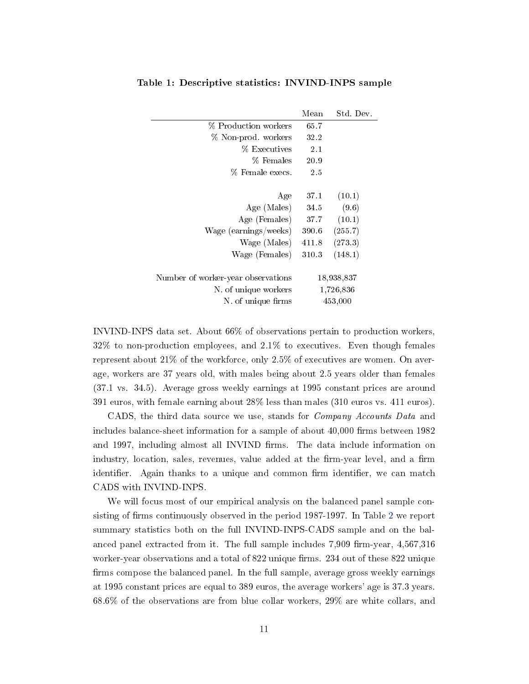|                                    | Mean  | Std. Dev.  |
|------------------------------------|-------|------------|
| % Production workers               | 65.7  |            |
| % Non-prod. workers                | 32.2  |            |
| % Executives                       | 2.1   |            |
| % Females                          | 20.9  |            |
| % Female execs.                    | 2.5   |            |
|                                    |       |            |
| Age                                | 37.1  | (10.1)     |
| Age (Males)                        | 34.5  | (9.6)      |
| Age (Females)                      | 37.7  | (10.1)     |
| Wage (earnings/weeks)              | 390.6 | (255.7)    |
| Wage (Males)                       | 411.8 | (273.3)    |
| Wage (Females)                     | 310.3 | (148.1)    |
|                                    |       |            |
| Number of worker-year observations |       | 18,938,837 |
| N. of unique workers               |       | 1,726,836  |
| N of unique firms                  |       | 453,000    |

<span id="page-11-0"></span>Table 1: Descriptive statistics: INVIND-INPS sample

INVIND-INPS data set. About 66% of observations pertain to production workers, 32% to non-production employees, and 2.1% to executives. Even though females represent about 21% of the workforce, only 2.5% of executives are women. On average, workers are 37 years old, with males being about 2.5 years older than females (37.1 vs. 34.5). Average gross weekly earnings at 1995 constant prices are around 391 euros, with female earning about 28% less than males (310 euros vs. 411 euros).

CADS, the third data source we use, stands for Company Accounts Data and includes balance-sheet information for a sample of about  $40,000$  firms between  $1982$ and 1997, including almost all INVIND firms. The data include information on industry, location, sales, revenues, value added at the firm-year level, and a firm identifier. Again thanks to a unique and common firm identifier, we can match CADS with INVIND-INPS.

We will focus most of our empirical analysis on the balanced panel sample con-sisting of firms continuously observed in the period 1987-1997. In Table [2](#page-12-0) we report summary statistics both on the full INVIND-INPS-CADS sample and on the balanced panel extracted from it. The full sample includes  $7,909$  firm-year,  $4,567,316$ worker-year observations and a total of 822 unique firms. 234 out of these 822 unique firms compose the balanced panel. In the full sample, average gross weekly earnings at 1995 constant prices are equal to 389 euros, the average workers' age is 37.3 years. 68.6% of the observations are from blue collar workers, 29% are white collars, and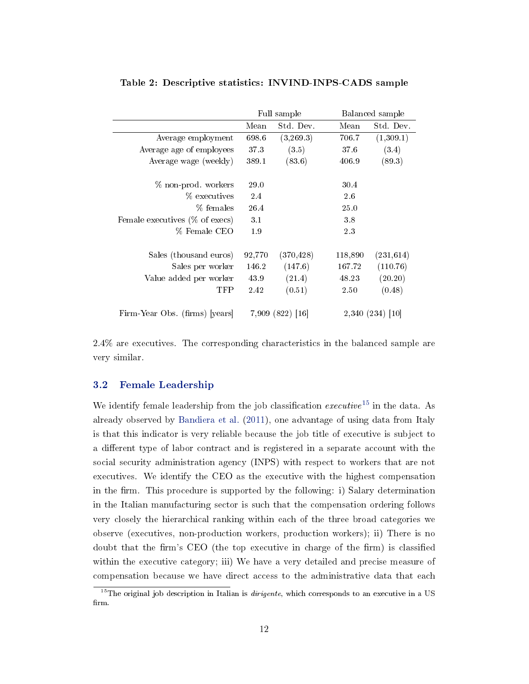|                                   |             | Full sample      |         | Balanced sample  |
|-----------------------------------|-------------|------------------|---------|------------------|
|                                   | Mean        | Std. Dev.        | Mean    | Std. Dev.        |
| Average employment                | 698.6       | (3,269.3)        | 706.7   | (1,309.1)        |
| Average age of employees          | 37.3        | (3.5)            | 37.6    | (3.4)            |
| Average wage (weekly)             | 389.1       | (83.6)           | 406.9   | (89.3)           |
| % non-prod. workers               | <b>29.0</b> |                  | 30.4    |                  |
| % executives                      | 2.4         |                  | 2.6     |                  |
| % females                         | 26.4        |                  | 25.0    |                  |
| Female executives $(\%$ of execs) | 3.1         |                  | 3.8     |                  |
| % Female CEO                      | 1.9         |                  | 2.3     |                  |
| Sales (thousand euros)            | 92,770      | (370, 428)       | 118,890 | (231, 614)       |
| Sales per worker                  | 146.2       | (147.6)          | 167.72  | (110.76)         |
| Value added per worker            | 43.9        | (21.4)           | 48.23   | (20.20)          |
| TFP                               | 2.42        | (0.51)           | 2.50    | (0.48)           |
| Firm-Year Obs. (firms) [years]    |             | 7,909 (822) [16] |         | 2,340 (234) [10] |

<span id="page-12-0"></span>Table 2: Descriptive statistics: INVIND-INPS-CADS sample

2.4% are executives. The corresponding characteristics in the balanced sample are very similar.

## 3.2 Female Leadership

We identify female leadership from the job classification executive<sup>[15](#page-12-1)</sup> in the data. As already observed by [Bandiera et al.](#page-35-2) [\(2011\)](#page-35-2), one advantage of using data from Italy is that this indicator is very reliable because the job title of executive is subject to a different type of labor contract and is registered in a separate account with the social security administration agency (INPS) with respect to workers that are not executives. We identify the CEO as the executive with the highest compensation in the firm. This procedure is supported by the following: i) Salary determination in the Italian manufacturing sector is such that the compensation ordering follows very closely the hierarchical ranking within each of the three broad categories we observe (executives, non-production workers, production workers); ii) There is no doubt that the firm's CEO (the top executive in charge of the firm) is classified within the executive category; iii) We have a very detailed and precise measure of compensation because we have direct access to the administrative data that each

<span id="page-12-1"></span> $15$ The original job description in Italian is *dirigente*, which corresponds to an executive in a US firm.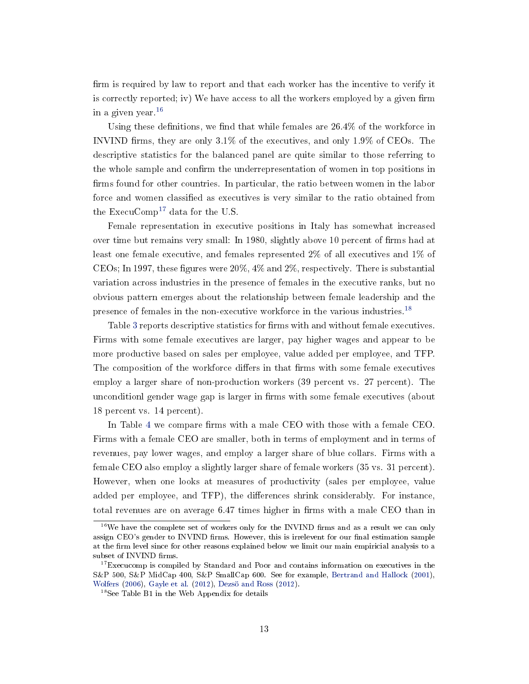firm is required by law to report and that each worker has the incentive to verify it is correctly reported; iv) We have access to all the workers employed by a given firm in a given year.[16](#page-13-0)

Using these definitions, we find that while females are  $26.4\%$  of the workforce in INVIND firms, they are only  $3.1\%$  of the executives, and only  $1.9\%$  of CEOs. The descriptive statistics for the balanced panel are quite similar to those referring to the whole sample and confirm the underrepresentation of women in top positions in firms found for other countries. In particular, the ratio between women in the labor force and women classified as executives is very similar to the ratio obtained from the ExecuComp<sup>[17](#page-13-1)</sup> data for the U.S.

Female representation in executive positions in Italy has somewhat increased over time but remains very small: In 1980, slightly above 10 percent of firms had at least one female executive, and females represented 2% of all executives and 1% of CEOs; In 1997, these figures were  $20\%$ ,  $4\%$  and  $2\%$ , respectively. There is substantial variation across industries in the presence of females in the executive ranks, but no obvious pattern emerges about the relationship between female leadership and the presence of females in the non-executive workforce in the various industries.[18](#page-13-2)

Table [3](#page-14-0) reports descriptive statistics for firms with and without female executives. Firms with some female executives are larger, pay higher wages and appear to be more productive based on sales per employee, value added per employee, and TFP. The composition of the workforce differs in that firms with some female executives employ a larger share of non-production workers (39 percent vs. 27 percent). The unconditionl gender wage gap is larger in firms with some female executives (about 18 percent vs. 14 percent).

In Table [4](#page-15-0) we compare firms with a male CEO with those with a female CEO. Firms with a female CEO are smaller, both in terms of employment and in terms of revenues, pay lower wages, and employ a larger share of blue collars. Firms with a female CEO also employ a slightly larger share of female workers (35 vs. 31 percent). However, when one looks at measures of productivity (sales per employee, value added per employee, and TFP), the differences shrink considerably. For instance, total revenues are on average  $6.47$  times higher in firms with a male CEO than in

<span id="page-13-0"></span> $16$ We have the complete set of workers only for the INVIND firms and as a result we can only assign CEO's gender to INVIND firms. However, this is irrelevent for our final estimation sample at the firm level since for other reasons explained below we limit our main empiricial analysis to a subset of INVIND firms.

<span id="page-13-1"></span><sup>&</sup>lt;sup>17</sup>Execucomp is compiled by Standard and Poor and contains information on executives in the S&P 500, S&P MidCap 400, S&P SmallCap 600. See for example, [Bertrand and Hallock](#page-36-4) [\(2001\)](#page-36-4), [Wolfers](#page-38-1) [\(2006\)](#page-38-1), [Gayle et al.](#page-37-5) [\(2012\)](#page-37-5), [Dezsö and Ross](#page-36-5) [\(2012\)](#page-36-5).

<span id="page-13-2"></span><sup>&</sup>lt;sup>18</sup>See Table B1 in the Web Appendix for details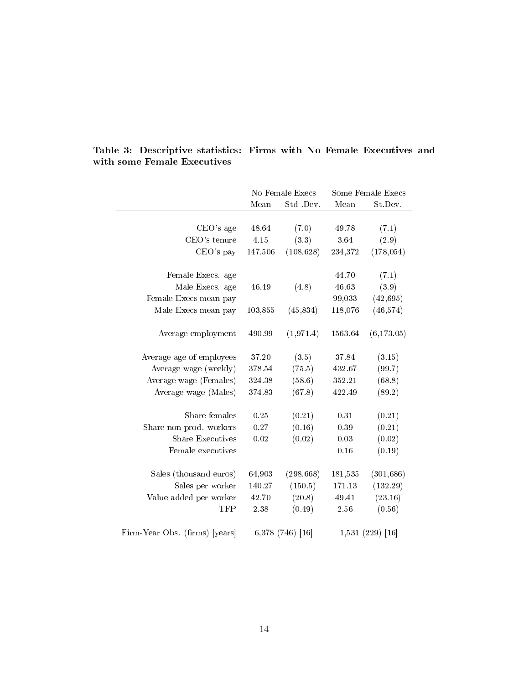|                                |            | No Female Execs  |         | Some Female Execs |
|--------------------------------|------------|------------------|---------|-------------------|
|                                | Mean       | Std .Dev.        | Mean    | St.Dev.           |
|                                |            |                  |         |                   |
| CEO's age                      | 48.64      | (7.0)            | 49.78   | (7.1)             |
| CEO's tenure                   | 4.15       | (3.3)            | 3.64    | (2.9)             |
| CEO's pay                      | 147,506    | (108, 628)       | 234,372 | (178, 054)        |
| Female Execs. age              |            |                  | 44.70   | (7.1)             |
| Male Execs. age                | 46.49      | (4.8)            | 46.63   | (3.9)             |
| Female Execs mean pay          |            |                  | 99,033  | (42, 695)         |
| Male Execs mean pay            | 103,855    | (45, 834)        | 118,076 | (46, 574)         |
| Average employment             | 490.99     | (1, 971.4)       | 1563.64 | (6,173.05)        |
| Average age of employees       | 37.20      | (3.5)            | 37.84   | (3.15)            |
| Average wage (weekly)          | 378.54     | (75.5)           | 432.67  | (99.7)            |
| Average wage (Females)         | $324.38\,$ | (58.6)           | 352.21  | (68.8)            |
| Average wage (Males)           | 374.83     | (67.8)           | 422.49  | (89.2)            |
| Share females                  | 0.25       | (0.21)           | 0.31    | (0.21)            |
| Share non-prod. workers        | 0.27       | (0.16)           | 0.39    | (0.21)            |
| <b>Share Executives</b>        | 0.02       | (0.02)           | 0.03    | (0.02)            |
| Female executives              |            |                  | 0.16    | (0.19)            |
| Sales (thousand euros)         | 64,903     | (298, 668)       | 181,535 | (301, 686)        |
| Sales per worker               | 140.27     | (150.5)          | 171.13  | (132.29)          |
| Value added per worker         | 42.70      | (20.8)           | 49.41   | (23.16)           |
| <b>TFP</b>                     | 2.38       | (0.49)           | 2.56    | (0.56)            |
| Firm-Year Obs. (firms) [years] |            | 6,378 (746) [16] |         | 1,531 (229) [16]  |

<span id="page-14-0"></span>Table 3: Descriptive statistics: Firms with No Female Executives and with some Female Executives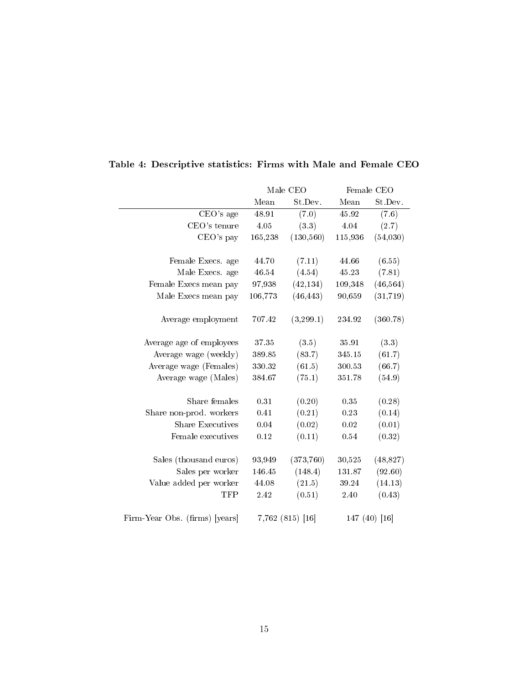|                                |           | Male CEO           |         | Female CEO      |
|--------------------------------|-----------|--------------------|---------|-----------------|
|                                | Mean      | St.Dev.            | Mean    | St.Dev.         |
| CEO's age                      | 48.91     | (7.0)              | 45.92   | (7.6)           |
| CEO's tenure                   | 4.05      | (3.3)              | 4.04    | (2.7)           |
| CEO's pay                      | 165,238   | (130, 560)         | 115,936 | (54,030)        |
|                                |           |                    |         |                 |
| Female Execs. age              | 44.70     | (7.11)             | 44.66   | (6.55)          |
| Male Execs. age                | 46.54     | (4.54)             | 45.23   | (7.81)          |
| Female Execs mean pay          | 97,938    | (42, 134)          | 109,348 | (46, 564)       |
| Male Execs mean pay            | 106,773   | (46, 443)          | 90,659  | (31, 719)       |
| Average employment             | 707.42    | (3,299.1)          | 234.92  | (360.78)        |
| Average age of employees       | $37.35\,$ | (3.5)              | 35.91   | (3.3)           |
| Average wage (weekly)          | 389.85    | (83.7)             | 345.15  | (61.7)          |
| Average wage (Females)         | 330.32    | (61.5)             | 300.53  | (66.7)          |
| Average wage (Males)           | 384.67    | (75.1)             | 351.78  | (54.9)          |
| Share females                  | 0.31      | (0.20)             | 0.35    | (0.28)          |
| Share non-prod. workers        | 0.41      | (0.21)             | 0.23    | (0.14)          |
| <b>Share Executives</b>        | 0.04      | (0.02)             | 0.02    | (0.01)          |
| Female executives              | 0.12      | (0.11)             | 0.54    | (0.32)          |
| Sales (thousand euros)         | 93,949    | (373, 760)         | 30,525  | (48, 827)       |
| Sales per worker               | 146.45    | (148.4)            | 131.87  | (92.60)         |
| Value added per worker         | 44.08     | (21.5)             | 39.24   | (14.13)         |
| TFP                            | 2.42      | (0.51)             | 2.40    | (0.43)          |
| Firm-Year Obs. (firms) [years] |           | $7,762$ (815) [16] |         | 147 $(40)$ [16] |

# <span id="page-15-0"></span>Table 4: Descriptive statistics: Firms with Male and Female CEO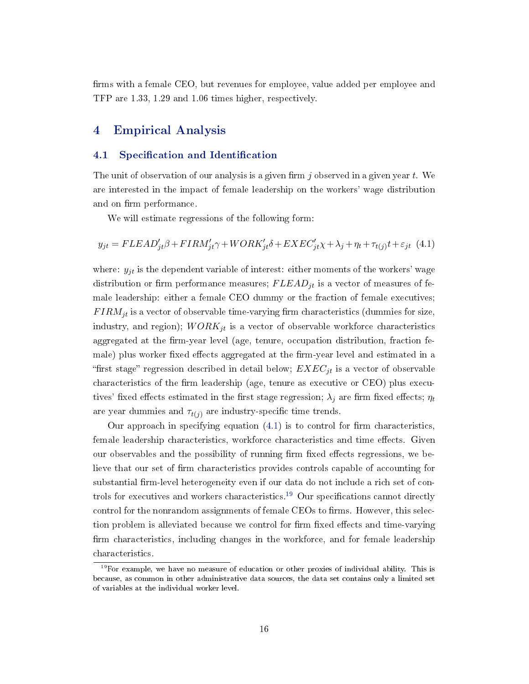firms with a female CEO, but revenues for employee, value added per employee and TFP are 1.33, 1.29 and 1.06 times higher, respectively.

# <span id="page-16-0"></span>4 Empirical Analysis

### 4.1 Specification and Identification

The unit of observation of our analysis is a given firm j observed in a given year  $t$ . We are interested in the impact of female leadership on the workers' wage distribution and on firm performance.

We will estimate regressions of the following form:

<span id="page-16-1"></span>
$$
y_{jt} = FLEAD'_{jt}\beta + FIRM'_{jt}\gamma + WORK'_{jt}\delta + EXEC'_{jt}\chi + \lambda_j + \eta_t + \tau_{t(j)}t + \varepsilon_{jt} \tag{4.1}
$$

where:  $y_{jt}$  is the dependent variable of interest: either moments of the workers' wage distribution or firm performance measures;  $FLEAD_{it}$  is a vector of measures of female leadership: either a female CEO dummy or the fraction of female executives;  $FIRM_{jt}$  is a vector of observable time-varying firm characteristics (dummies for size, industry, and region);  $WORK_{jt}$  is a vector of observable workforce characteristics aggregated at the firm-year level (age, tenure, occupation distribution, fraction female) plus worker fixed effects aggregated at the firm-year level and estimated in a "first stage" regression described in detail below;  $EXEC_{jt}$  is a vector of observable characteristics of the firm leadership (age, tenure as executive or CEO) plus executives' fixed effects estimated in the first stage regression;  $\lambda_j$  are firm fixed effects;  $\eta_t$ are year dummies and  $\tau_{t(i)}$  are industry-specific time trends.

Our approach in specifying equation  $(4.1)$  is to control for firm characteristics, female leadership characteristics, workforce characteristics and time effects. Given our observables and the possibility of running firm fixed effects regressions, we believe that our set of firm characteristics provides controls capable of accounting for substantial firm-level heterogeneity even if our data do not include a rich set of con-trols for executives and workers characteristics.<sup>[19](#page-16-2)</sup> Our specifications cannot directly control for the nonrandom assignments of female CEOs to firms. However, this selection problem is alleviated because we control for firm fixed effects and time-varying firm characteristics, including changes in the workforce, and for female leadership characteristics.

<span id="page-16-2"></span> $19$ For example, we have no measure of education or other proxies of individual ability. This is because, as common in other administrative data sources, the data set contains only a limited set of variables at the individual worker level.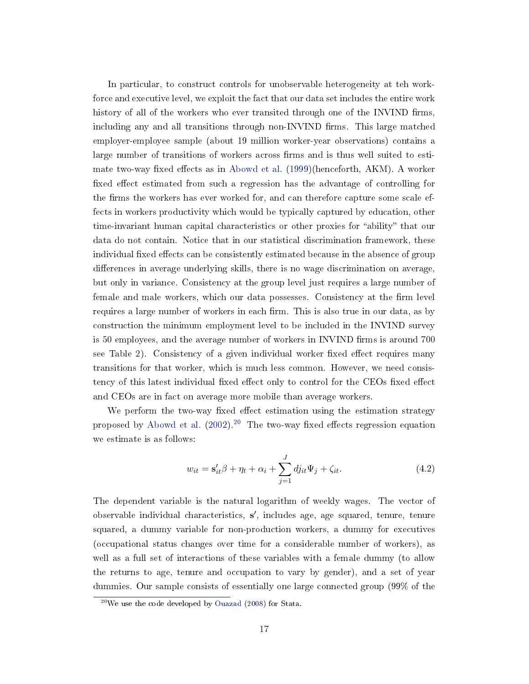In particular, to construct controls for unobservable heterogeneity at teh workforce and executive level, we exploit the fact that our data set includes the entire work history of all of the workers who ever transited through one of the INVIND firms, including any and all transitions through non-INVIND firms. This large matched employer-employee sample (about 19 million worker-year observations) contains a large number of transitions of workers across firms and is thus well suited to esti-mate two-way fixed effects as in [Abowd et al.](#page-35-5)  $(1999)$ (henceforth, AKM). A worker fixed effect estimated from such a regression has the advantage of controlling for the firms the workers has ever worked for, and can therefore capture some scale effects in workers productivity which would be typically captured by education, other time-invariant human capital characteristics or other proxies for "ability" that our data do not contain. Notice that in our statistical discrimination framework, these individual fixed effects can be consistently estimated because in the absence of group differences in average underlying skills, there is no wage discrimination on average, but only in variance. Consistency at the group level just requires a large number of female and male workers, which our data possesses. Consistency at the firm level requires a large number of workers in each firm. This is also true in our data, as by construction the minimum employment level to be included in the INVIND survey is 50 employees, and the average number of workers in INVIND firms is around 700 see Table [2\)](#page-12-0). Consistency of a given individual worker fixed effect requires many transitions for that worker, which is much less common. However, we need consistency of this latest individual fixed effect only to control for the CEOs fixed effect and CEOs are in fact on average more mobile than average workers.

We perform the two-way fixed effect estimation using the estimation strategy proposed by [Abowd et al.](#page-35-6)  $(2002)^{20}$  $(2002)^{20}$  $(2002)^{20}$  $(2002)^{20}$  The two-way fixed effects regression equation we estimate is as follows:

$$
w_{it} = \mathbf{s}'_{it}\beta + \eta_t + \alpha_i + \sum_{j=1}^{J} dj_{it}\Psi_j + \zeta_{it}.
$$
\n(4.2)

The dependent variable is the natural logarithm of weekly wages. The vector of observable individual characteristics, s', includes age, age squared, tenure, tenure squared, a dummy variable for non-production workers, a dummy for executives (occupational status changes over time for a considerable number of workers), as well as a full set of interactions of these variables with a female dummy (to allow the returns to age, tenure and occupation to vary by gender), and a set of year dummies. Our sample consists of essentially one large connected group (99% of the

<span id="page-17-0"></span> $^{20}$ We use the code developed by [Ouazad](#page-38-5) [\(2008\)](#page-38-5) for Stata.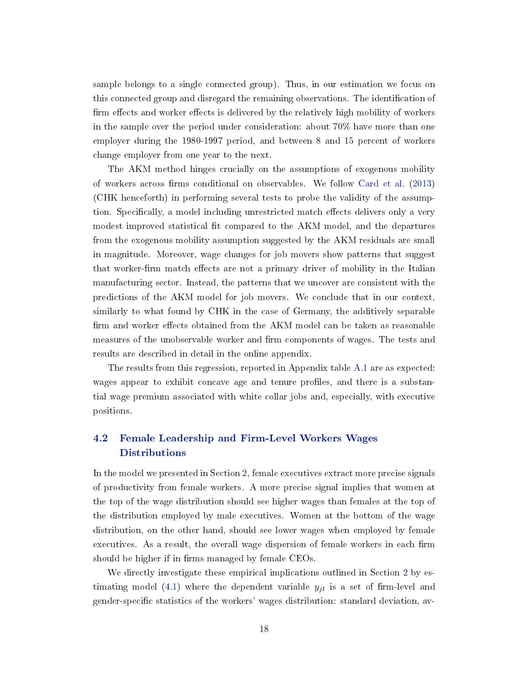sample belongs to a single connected group). Thus, in our estimation we focus on this connected group and disregard the remaining observations. The identification of firm effects and worker effects is delivered by the relatively high mobility of workers in the sample over the period under consideration: about 70% have more than one employer during the 1980-1997 period, and between 8 and 15 percent of workers change employer from one year to the next.

The AKM method hinges crucially on the assumptions of exogenous mobility of workers across firms conditional on observables. We follow [Card et al.](#page-36-12) [\(2013\)](#page-36-12) (CHK henceforth) in performing several tests to probe the validity of the assumption. Specifically, a model including unrestricted match effects delivers only a very modest improved statistical fit compared to the AKM model, and the departures from the exogenous mobility assumption suggested by the AKM residuals are small in magnitude. Moreover, wage changes for job movers show patterns that suggest that worker-firm match effects are not a primary driver of mobility in the Italian manufacturing sector. Instead, the patterns that we uncover are consistent with the predictions of the AKM model for job movers. We conclude that in our context, similarly to what found by CHK in the case of Germany, the additively separable firm and worker effects obtained from the AKM model can be taken as reasonable measures of the unobservable worker and firm components of wages. The tests and results are described in detail in the online appendix.

The results from this regression, reported in Appendix table [A.1](#page-31-0) are as expected: wages appear to exhibit concave age and tenure profiles, and there is a substantial wage premium associated with white collar jobs and, especially, with executive positions.

# 4.2 Female Leadership and Firm-Level Workers Wages Distributions

In the model we presented in Section [2,](#page-4-0) female executives extract more precise signals of productivity from female workers. A more precise signal implies that women at the top of the wage distribution should see higher wages than females at the top of the distribution employed by male executives. Women at the bottom of the wage distribution, on the other hand, should see lower wages when employed by female executives. As a result, the overall wage dispersion of female workers in each firm should be higher if in firms managed by female CEOs.

We directly investigate these empirical implications outlined in Section [2](#page-4-0) by es-timating model [\(4.1\)](#page-16-1) where the dependent variable  $y_{it}$  is a set of firm-level and gender-specific statistics of the workers' wages distribution: standard deviation, av-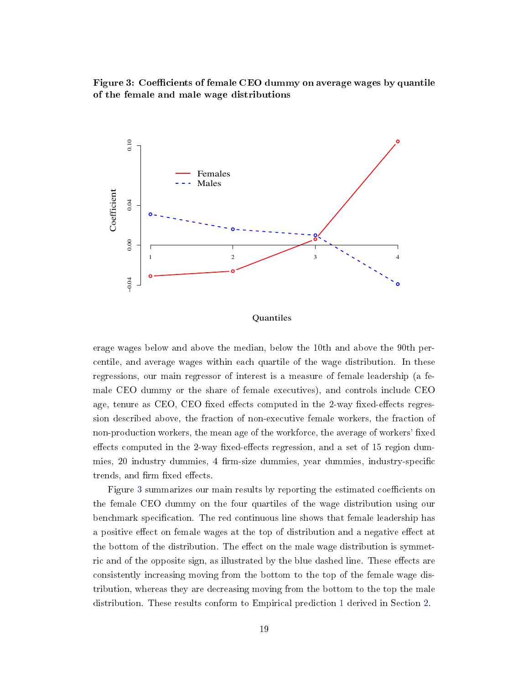<span id="page-19-0"></span>Figure 3: Coefficients of female CEO dummy on average wages by quantile of the female and male wage distributions



#### Quantiles

erage wages below and above the median, below the 10th and above the 90th percentile, and average wages within each quartile of the wage distribution. In these regressions, our main regressor of interest is a measure of female leadership (a female CEO dummy or the share of female executives), and controls include CEO age, tenure as CEO, CEO fixed effects computed in the 2-way fixed-effects regression described above, the fraction of non-executive female workers, the fraction of non-production workers, the mean age of the workforce, the average of workers' fixed effects computed in the 2-way fixed-effects regression, and a set of 15 region dummies, 20 industry dummies, 4 firm-size dummies, year dummies, industry-specific trends, and firm fixed effects.

Figure [3](#page-19-0) summarizes our main results by reporting the estimated coefficients on the female CEO dummy on the four quartiles of the wage distribution using our benchmark specification. The red continuous line shows that female leadership has a positive effect on female wages at the top of distribution and a negative effect at the bottom of the distribution. The effect on the male wage distribution is symmetric and of the opposite sign, as illustrated by the blue dashed line. These effects are consistently increasing moving from the bottom to the top of the female wage distribution, whereas they are decreasing moving from the bottom to the top the male distribution. These results conform to Empirical prediction [1](#page-8-2) derived in Section [2.](#page-4-0)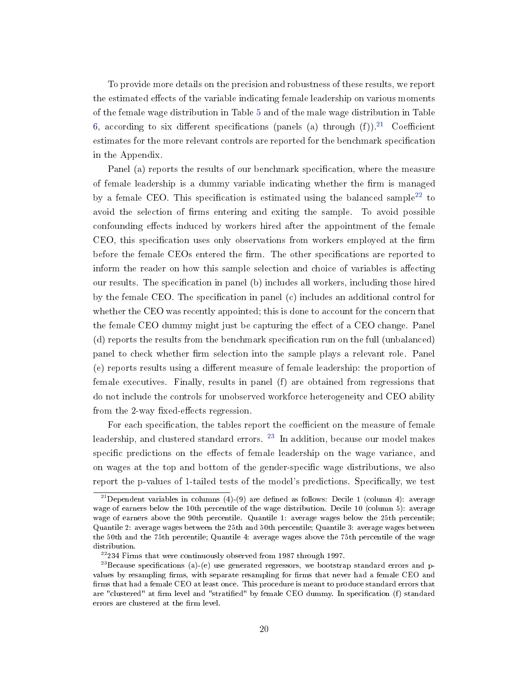To provide more details on the precision and robustness of these results, we report the estimated effects of the variable indicating female leadership on various moments of the female wage distribution in Table [5](#page-21-0) and of the male wage distribution in Table [6,](#page-22-0) according to six different specifications (panels (a) through  $(f)$ ).<sup>[21](#page-20-0)</sup> Coefficient estimates for the more relevant controls are reported for the benchmark specification in the Appendix.

Panel (a) reports the results of our benchmark specification, where the measure of female leadership is a dummy variable indicating whether the firm is managed by a female CEO. This specification is estimated using the balanced sample<sup>[22](#page-20-1)</sup> to avoid the selection of firms entering and exiting the sample. To avoid possible confounding effects induced by workers hired after the appointment of the female CEO, this specification uses only observations from workers employed at the firm before the female CEOs entered the firm. The other specifications are reported to inform the reader on how this sample selection and choice of variables is affecting our results. The specification in panel (b) includes all workers, including those hired by the female CEO. The specification in panel  $(c)$  includes an additional control for whether the CEO was recently appointed; this is done to account for the concern that the female CEO dummy might just be capturing the effect of a CEO change. Panel  $(d)$  reports the results from the benchmark specification run on the full (unbalanced) panel to check whether firm selection into the sample plays a relevant role. Panel (e) reports results using a different measure of female leadership: the proportion of female executives. Finally, results in panel (f) are obtained from regressions that do not include the controls for unobserved workforce heterogeneity and CEO ability from the 2-way fixed-effects regression.

For each specification, the tables report the coefficient on the measure of female leadership, and clustered standard errors.  $^{23}$  $^{23}$  $^{23}$  In addition, because our model makes specific predictions on the effects of female leadership on the wage variance, and on wages at the top and bottom of the gender-specific wage distributions, we also report the p-values of 1-tailed tests of the model's predictions. Specifically, we test

<span id="page-20-0"></span><sup>&</sup>lt;sup>21</sup>Dependent variables in columns (4)-(9) are defined as follows: Decile 1 (column 4): average wage of earners below the 10th percentile of the wage distribution. Decile 10 (column 5): average wage of earners above the 90th percentile. Quantile 1: average wages below the 25th percentile; Quantile 2: average wages between the 25th and 50th percentile; Quantile 3: average wages between the 50th and the 75th percentile; Quantile 4: average wages above the 75th percentile of the wage distribution.

<span id="page-20-2"></span><span id="page-20-1"></span><sup>22</sup>234 Firms that were continuously observed from 1987 through 1997.

<sup>&</sup>lt;sup>23</sup>Because specifications (a)-(e) use generated regressors, we bootstrap standard errors and pvalues by resampling firms, with separate resampling for firms that never had a female CEO and firms that had a female CEO at least once. This procedure is meant to produce standard errors that are "clustered" at firm level and "stratified" by female CEO dummy. In specification (f) standard errors are clustered at the firm level.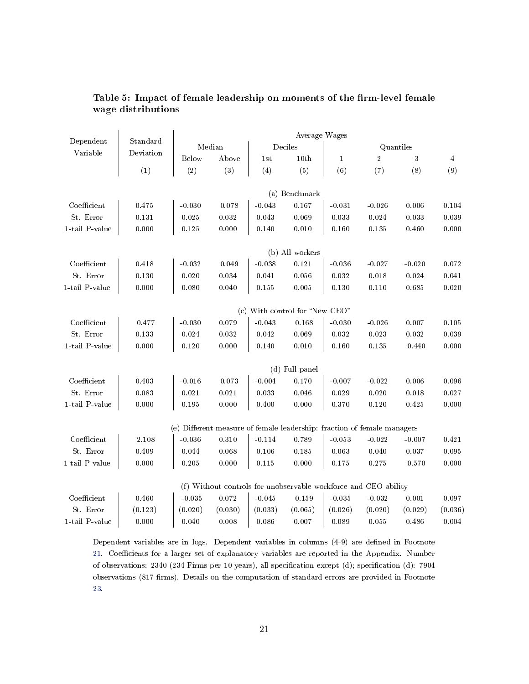|                       |           |              |             |          | Average Wages                                                           |              |                |           |                |
|-----------------------|-----------|--------------|-------------|----------|-------------------------------------------------------------------------|--------------|----------------|-----------|----------------|
| Dependent             | Standard  |              | Median      |          | Deciles                                                                 |              |                | Quantiles |                |
| Variable              | Deviation | <b>Below</b> | Above       | 1st      | 10th                                                                    | $\mathbf{1}$ | $\overline{2}$ | 3         | $\overline{4}$ |
|                       | (1)       | (2)          | (3)         | (4)      | (5)                                                                     | (6)          | (7)            | (8)       | (9)            |
|                       |           |              |             |          | (a) Benchmark                                                           |              |                |           |                |
| Coefficient           | 0.475     | $-0.030$     | 0.078       | $-0.043$ | 0.167                                                                   | $-0.031$     | $-0.026$       | 0.006     | 0.104          |
| St. Error             | 0.131     | 0.025        | 0.032       | 0.043    | 0.069                                                                   | 0.033        | $0.024\,$      | 0.033     | 0.039          |
| $1$ -tail $\,$ -value | 0.000     | 0.125        | 0.000       | 0.140    | 0.010                                                                   | 0.160        | 0.135          | 0.460     | 0.000          |
|                       |           |              |             |          | (b) All workers                                                         |              |                |           |                |
| Coefficient           | 0.418     | $-0.032$     | 0.049       | $-0.038$ | 0.121                                                                   | $-0.036$     | $-0.027$       | $-0.020$  | 0.072          |
| St. Error             | 0.130     | 0.020        | $0.034\,$   | 0.041    | 0.056                                                                   | 0.032        | 0.018          | 0.024     | 0.041          |
| 1-tail P-value        | 0.000     | 0.080        | $0.040\,$   | 0.155    | 0.005                                                                   | 0.130        | 0.110          | 0.685     | 0.020          |
|                       |           |              |             |          | (c) With control for "New CEO"                                          |              |                |           |                |
| Coefficient           | 0.477     | $-0.030$     | 0.079       | $-0.043$ | 0.168                                                                   | $-0.030$     | $-0.026$       | 0.007     | 0.105          |
| St. Error             | 0.133     | 0.024        | 0.032       | 0.042    | 0.069                                                                   | 0.032        | 0.023          | 0.032     | 0.039          |
| $1$ -tail $\,$ -value | 0.000     | 0.120        | 0.000       | 0.140    | 0.010                                                                   | 0.160        | 0.135          | 0.440     | 0.000          |
|                       |           |              |             |          | (d) Full panel                                                          |              |                |           |                |
| Coefficient           | 0.403     | $-0.016$     | 0.073       | $-0.004$ | 0.170                                                                   | $-0.007$     | $-0.022$       | 0.006     | 0.096          |
| St. Error             | 0.083     | 0.021        | $\rm 0.021$ | 0.033    | 0.046                                                                   | 0.029        | 0.020          | 0.018     | 0.027          |
| $1$ -tail $\,$ -value | 0.000     | 0.195        | 0.000       | 0.400    | 0.000                                                                   | 0.370        | 0.120          | 0.425     | 0.000          |
|                       |           |              |             |          | (e) Different measure of female leadership: fraction of female managers |              |                |           |                |
| Coefficient           | 2.108     | $-0.036$     | 0.310       | $-0.114$ | 0.789                                                                   | $-0.053$     | $-0.022$       | $-0.007$  | 0.421          |
| St. Error             | 0.409     | 0.044        | 0.068       | 0.106    | 0.185                                                                   | 0.063        | 0.040          | 0.037     | 0.095          |
| 1-tail P-value        | 0.000     | 0.205        | 0.000       | 0.115    | 0.000                                                                   | 0.175        | 0.275          | 0.570     | 0.000          |
|                       |           |              |             |          | (f) Without controls for unobservable workforce and CEO ability         |              |                |           |                |
| Coefficient           | 0.460     | $-0.035$     | $\rm 0.072$ | $-0.045$ | 0.159                                                                   | $-0.035$     | $-0.032$       | 0.001     | 0.097          |
| St. Error             | (0.123)   | (0.020)      | (0.030)     | (0.033)  | (0.065)                                                                 | (0.026)      | (0.020)        | (0.029)   | (0.036)        |
| $1$ -tail $\,$ -value | 0.000     | 0.040        | 0.008       | 0.086    | 0.007                                                                   | 0.089        | 0.055          | 0.486     | 0.004          |
|                       |           |              |             |          |                                                                         |              |                |           |                |

## <span id="page-21-0"></span>Table 5: Impact of female leadership on moments of the firm-level female wage distributions

Dependent variables are in logs. Dependent variables in columns (4-9) are defined in Footnote [21.](#page-20-0) Coefficients for a larger set of explanatory variables are reported in the Appendix. Number of observations: 2340 (234 Firms per 10 years), all specification except (d); specification (d): 7904 observations (817 firms). Details on the computation of standard errors are provided in Footnote [23.](#page-20-2)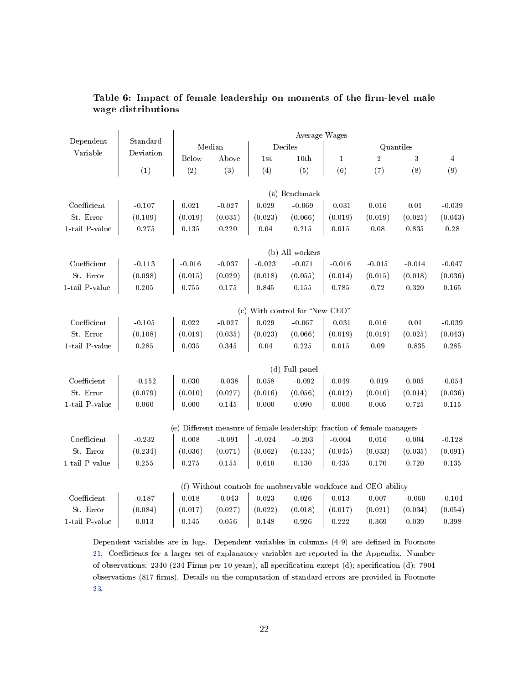|                               |           |              |           |          | Average Wages                  |              |                                                                                                                                                                                                                                                                                                                                                                                                                 |           |                |
|-------------------------------|-----------|--------------|-----------|----------|--------------------------------|--------------|-----------------------------------------------------------------------------------------------------------------------------------------------------------------------------------------------------------------------------------------------------------------------------------------------------------------------------------------------------------------------------------------------------------------|-----------|----------------|
| Dependent                     | Standard  |              | Median    |          | Deciles                        |              |                                                                                                                                                                                                                                                                                                                                                                                                                 |           |                |
| Variable                      | Deviation | <b>Below</b> | Above     | 1st      | 10th                           | $\mathbf{1}$ | $\overline{2}$                                                                                                                                                                                                                                                                                                                                                                                                  | 3         | $\overline{4}$ |
|                               | (1)       | (2)          | (3)       | (4)      | (5)                            | (6)          | (7)                                                                                                                                                                                                                                                                                                                                                                                                             | (8)       | (9)            |
|                               |           |              |           |          | (a) Benchmark                  |              |                                                                                                                                                                                                                                                                                                                                                                                                                 |           |                |
| Coefficient                   | $-0.107$  | 0.021        | $-0.027$  | 0.029    | $-0.069$                       | 0.031        | 0.016                                                                                                                                                                                                                                                                                                                                                                                                           | $0.01\,$  | $-0.039$       |
| St. Error                     | (0.109)   | (0.019)      | (0.035)   | (0.023)  | (0.066)                        | (0.019)      | (0.019)                                                                                                                                                                                                                                                                                                                                                                                                         | (0.025)   | (0.043)        |
| 1-tail P-value                | 0.275     | 0.135        | $0.220\,$ | 0.04     | 0.215                          | 0.015        | 0.08                                                                                                                                                                                                                                                                                                                                                                                                            | 0.835     | $0.28\,$       |
|                               |           |              |           |          | (b) All workers                |              |                                                                                                                                                                                                                                                                                                                                                                                                                 |           |                |
| Coefficient                   | $-0.113$  | $-0.016$     | $-0.037$  | $-0.023$ | $-0.071$                       | $-0.016$     | $-0.015$                                                                                                                                                                                                                                                                                                                                                                                                        | $-0.014$  | $-0.047$       |
| St. Error                     | (0.098)   | (0.015)      | (0.029)   | (0.018)  | (0.055)                        | (0.014)      | (0.015)                                                                                                                                                                                                                                                                                                                                                                                                         |           | (0.036)        |
| $1$ -tail $\, {\bf P}$ -value | 0.205     | 0.755        | 0.175     | 0.845    | 0.155                          | 0.785        | 0.72                                                                                                                                                                                                                                                                                                                                                                                                            | 0.320     | 0.165          |
|                               |           |              |           |          | (c) With control for "New CEO" |              |                                                                                                                                                                                                                                                                                                                                                                                                                 |           |                |
| Coefficient                   | $-0.105$  | 0.022        | $-0.027$  | 0.029    | $-0.067$                       | 0.031        |                                                                                                                                                                                                                                                                                                                                                                                                                 |           | $-0.039$       |
| St. Error                     | (0.108)   | (0.019)      | (0.035)   | (0.023)  | (0.066)                        | (0.019)      |                                                                                                                                                                                                                                                                                                                                                                                                                 |           | (0.043)        |
| 1-tail P-value                | 0.285     | 0.035        | 0.345     | 0.04     | 0.225                          | 0.015        | Quantiles<br>(0.018)<br>0.016<br>$0.01\,$<br>(0.019)<br>(0.025)<br>0.09<br>0.835<br>0.019<br>0.005<br>(0.010)<br>(0.014)<br>0.005<br>0.725<br>(e) Different measure of female leadership: fraction of female managers<br>0.016<br>0.004<br>(0.033)<br>(0.035)<br>0.170<br>0.720<br>(f) Without controls for unobservable workforce and CEO ability<br>0.007<br>$-0.060$<br>(0.021)<br>(0.034)<br>0.369<br>0.039 | $0.285\,$ |                |
|                               |           |              |           |          | (d) Full panel                 |              |                                                                                                                                                                                                                                                                                                                                                                                                                 |           |                |
| Coefficient                   | $-0.152$  | 0.030        | $-0.038$  | 0.058    | $-0.092$                       | 0.049        |                                                                                                                                                                                                                                                                                                                                                                                                                 |           | $-0.054$       |
| St. Error                     | (0.079)   | (0.010)      | (0.027)   | (0.016)  | (0.056)                        | (0.012)      |                                                                                                                                                                                                                                                                                                                                                                                                                 |           | (0.036)        |
| 1-tail P-value                | 0.060     | 0.000        | $0.145\,$ | 0.000    | 0.090                          | 0.000        |                                                                                                                                                                                                                                                                                                                                                                                                                 |           | 0.115          |
|                               |           |              |           |          |                                |              |                                                                                                                                                                                                                                                                                                                                                                                                                 |           |                |
| Coefficient                   | $-0.232$  | 0.008        | $-0.091$  | $-0.024$ | $-0.203$                       | $-0.004$     |                                                                                                                                                                                                                                                                                                                                                                                                                 |           | $-0.128$       |
| St. Error                     | (0.234)   | (0.036)      | (0.071)   | (0.062)  | (0.135)                        | (0.045)      |                                                                                                                                                                                                                                                                                                                                                                                                                 |           | (0.091)        |
| 1-tail P-value                | $0.255\,$ | 0.275        | 0.155     | 0.610    | 0.130                          | 0.435        |                                                                                                                                                                                                                                                                                                                                                                                                                 |           | $0.135\,$      |
|                               |           |              |           |          |                                |              |                                                                                                                                                                                                                                                                                                                                                                                                                 |           |                |
| Coefficient                   | $-0.187$  | 0.018        | $-0.043$  | 0.023    | 0.026                          | 0.013        |                                                                                                                                                                                                                                                                                                                                                                                                                 |           | $-0.104$       |
| St. Error                     | (0.084)   | (0.017)      | (0.027)   | (0.022)  | (0.018)                        | (0.017)      |                                                                                                                                                                                                                                                                                                                                                                                                                 |           | (0.054)        |
| $1$ -tail $\,$ -value         | 0.013     | 0.145        | 0.056     | 0.148    | 0.926                          | 0.222        |                                                                                                                                                                                                                                                                                                                                                                                                                 |           | 0.398          |
|                               |           |              |           |          |                                |              |                                                                                                                                                                                                                                                                                                                                                                                                                 |           |                |

## <span id="page-22-0"></span>Table 6: Impact of female leadership on moments of the firm-level male wage distributions

Dependent variables are in logs. Dependent variables in columns (4-9) are defined in Footnote [21.](#page-20-0) Coefficients for a larger set of explanatory variables are reported in the Appendix. Number of observations: 2340 (234 Firms per 10 years), all specification except (d); specification (d): 7904 observations (817 firms). Details on the computation of standard errors are provided in Footnote [23.](#page-20-2)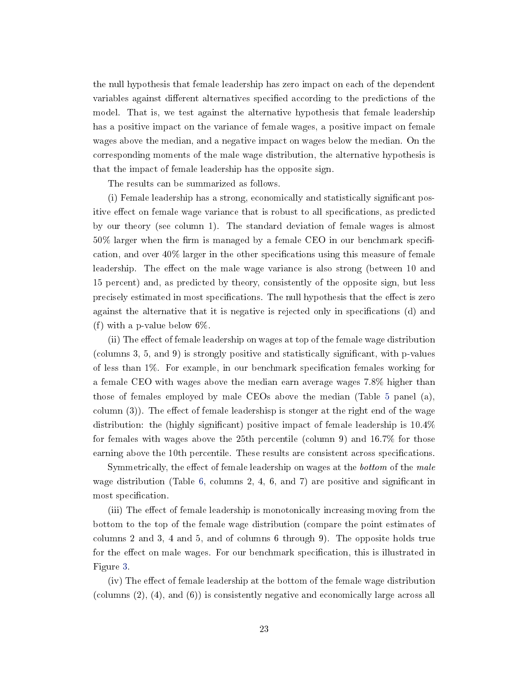the null hypothesis that female leadership has zero impact on each of the dependent variables against different alternatives specified according to the predictions of the model. That is, we test against the alternative hypothesis that female leadership has a positive impact on the variance of female wages, a positive impact on female wages above the median, and a negative impact on wages below the median. On the corresponding moments of the male wage distribution, the alternative hypothesis is that the impact of female leadership has the opposite sign.

The results can be summarized as follows.

(i) Female leadership has a strong, economically and statistically signicant positive effect on female wage variance that is robust to all specifications, as predicted by our theory (see column 1). The standard deviation of female wages is almost  $50\%$  larger when the firm is managed by a female CEO in our benchmark specification, and over  $40\%$  larger in the other specifications using this measure of female leadership. The effect on the male wage variance is also strong (between 10 and 15 percent) and, as predicted by theory, consistently of the opposite sign, but less precisely estimated in most specifications. The null hypothesis that the effect is zero against the alternative that it is negative is rejected only in specifications (d) and (f) with a p-value below 6%.

(ii) The effect of female leadership on wages at top of the female wage distribution (columns 3, 5, and 9) is strongly positive and statistically signicant, with p-values of less than 1%. For example, in our benchmark specification females working for a female CEO with wages above the median earn average wages 7.8% higher than those of females employed by male CEOs above the median (Table [5](#page-21-0) panel (a), column  $(3)$ ). The effect of female leadershisp is stonger at the right end of the wage distribution: the (highly significant) positive impact of female leadership is  $10.4\%$ for females with wages above the 25th percentile (column 9) and 16.7% for those earning above the 10th percentile. These results are consistent across specifications.

Symmetrically, the effect of female leadership on wages at the *bottom* of the *male* wage distribution (Table [6,](#page-22-0) columns 2, 4, 6, and 7) are positive and significant in most specification.

(iii) The effect of female leadership is monotonically increasing moving from the bottom to the top of the female wage distribution (compare the point estimates of columns 2 and 3, 4 and 5, and of columns 6 through 9). The opposite holds true for the effect on male wages. For our benchmark specification, this is illustrated in Figure [3.](#page-19-0)

 $(iv)$  The effect of female leadership at the bottom of the female wage distribution (columns (2), (4), and (6)) is consistently negative and economically large across all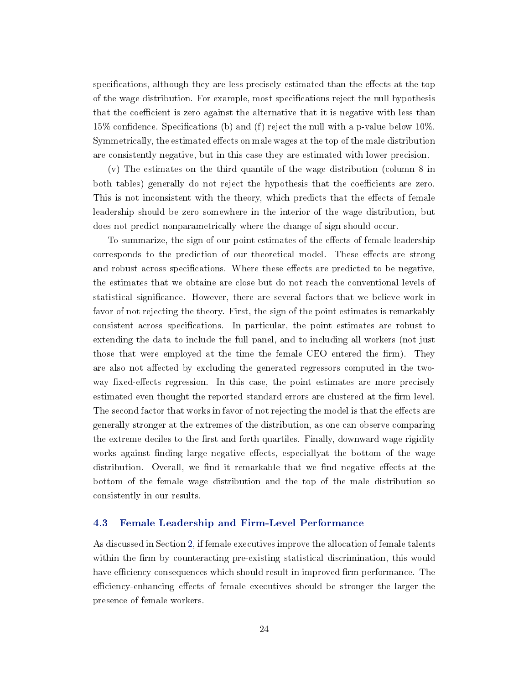specifications, although they are less precisely estimated than the effects at the top of the wage distribution. For example, most specifications reject the null hypothesis that the coefficient is zero against the alternative that it is negative with less than 15% confidence. Specifications (b) and (f) reject the null with a p-value below  $10\%$ . Symmetrically, the estimated effects on male wages at the top of the male distribution are consistently negative, but in this case they are estimated with lower precision.

(v) The estimates on the third quantile of the wage distribution (column 8 in both tables) generally do not reject the hypothesis that the coefficients are zero. This is not inconsistent with the theory, which predicts that the effects of female leadership should be zero somewhere in the interior of the wage distribution, but does not predict nonparametrically where the change of sign should occur.

To summarize, the sign of our point estimates of the effects of female leadership corresponds to the prediction of our theoretical model. These effects are strong and robust across specifications. Where these effects are predicted to be negative, the estimates that we obtaine are close but do not reach the conventional levels of statistical signicance. However, there are several factors that we believe work in favor of not rejecting the theory. First, the sign of the point estimates is remarkably consistent across specifications. In particular, the point estimates are robust to extending the data to include the full panel, and to including all workers (not just those that were employed at the time the female CEO entered the firm). They are also not affected by excluding the generated regressors computed in the twoway fixed-effects regression. In this case, the point estimates are more precisely estimated even thought the reported standard errors are clustered at the firm level. The second factor that works in favor of not rejecting the model is that the effects are generally stronger at the extremes of the distribution, as one can observe comparing the extreme deciles to the first and forth quartiles. Finally, downward wage rigidity works against finding large negative effects, especially at the bottom of the wage distribution. Overall, we find it remarkable that we find negative effects at the bottom of the female wage distribution and the top of the male distribution so consistently in our results.

## <span id="page-24-0"></span>4.3 Female Leadership and Firm-Level Performance

As discussed in Section [2,](#page-4-0) if female executives improve the allocation of female talents within the firm by counteracting pre-existing statistical discrimination, this would have efficiency consequences which should result in improved firm performance. The efficiency-enhancing effects of female executives should be stronger the larger the presence of female workers.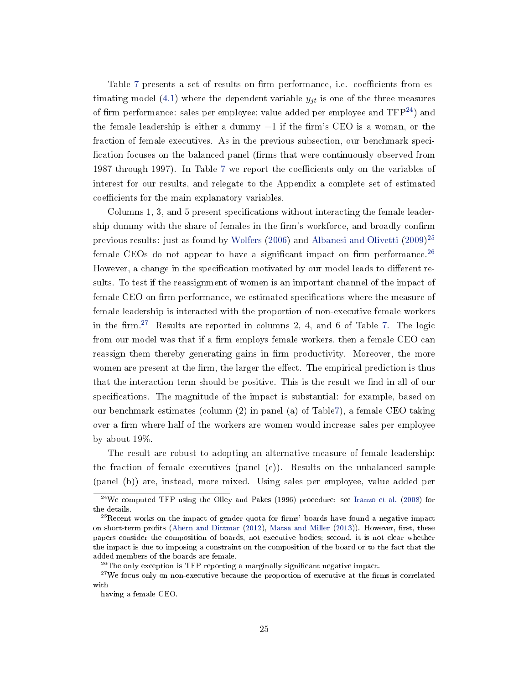Table [7](#page-26-0) presents a set of results on firm performance, i.e. coefficients from es-timating model [\(4.1\)](#page-16-1) where the dependent variable  $y_{jt}$  is one of the three measures of firm performance: sales per employee; value added per employee and  $TFP<sup>24</sup>$  $TFP<sup>24</sup>$  $TFP<sup>24</sup>$ ) and the female leadership is either a dummy  $=1$  if the firm's CEO is a woman, or the fraction of female executives. As in the previous subsection, our benchmark speci fication focuses on the balanced panel (firms that were continuously observed from 198[7](#page-26-0) through 1997). In Table 7 we report the coefficients only on the variables of interest for our results, and relegate to the Appendix a complete set of estimated coefficients for the main explanatory variables.

Columns 1, 3, and 5 present specifications without interacting the female leadership dummy with the share of females in the firm's workforce, and broadly confirm previous results: just as found by [Wolfers](#page-38-1) [\(2006\)](#page-38-1) and [Albanesi and Olivetti](#page-35-8) [\(2009\)](#page-35-8) [25](#page-25-1) female CEOs do not appear to have a significant impact on firm performance.<sup>[26](#page-25-2)</sup> However, a change in the specification motivated by our model leads to different results. To test if the reassignment of women is an important channel of the impact of female CEO on firm performance, we estimated specifications where the measure of female leadership is interacted with the proportion of non-executive female workers in the firm.<sup>[27](#page-25-3)</sup> Results are reported in columns 2, 4, and 6 of Table [7.](#page-26-0) The logic from our model was that if a firm employs female workers, then a female CEO can reassign them thereby generating gains in firm productivity. Moreover, the more women are present at the firm, the larger the effect. The empirical prediction is thus that the interaction term should be positive. This is the result we find in all of our specifications. The magnitude of the impact is substantial: for example, based on our benchmark estimates (column (2) in panel (a) of Tabl[e7\)](#page-26-0), a female CEO taking over a firm where half of the workers are women would increase sales per employee by about 19%.

The result are robust to adopting an alternative measure of female leadership: the fraction of female executives (panel  $(c)$ ). Results on the unbalanced sample (panel (b)) are, instead, more mixed. Using sales per employee, value added per

<span id="page-25-0"></span> $^{24}$ We computed TFP using the Olley and Pakes (1996) procedure: see [Iranzo et al.](#page-37-10) [\(2008\)](#page-37-10) for the details.

<span id="page-25-1"></span> $^{25}$ Recent works on the impact of gender quota for firms' boards have found a negative impact on short-term profits [\(Ahern and Dittmar](#page-35-3) [\(2012\)](#page-35-3), [Matsa and Miller](#page-38-2) [\(2013\)](#page-38-2)). However, first, these papers consider the composition of boards, not executive bodies; second, it is not clear whether the impact is due to imposing a constraint on the composition of the board or to the fact that the added members of the boards are female.

<span id="page-25-3"></span><span id="page-25-2"></span> $^{26}$ The only exception is TFP reporting a marginally significant negative impact.

 $27$ We focus only on non-executive because the proportion of executive at the firms is correlated with

having a female CEO.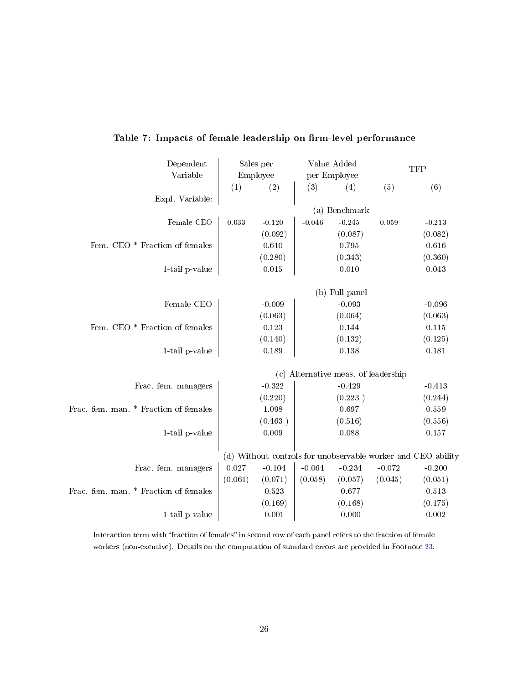| Dependent<br>Variable                 |         | Sales per<br>Employee |          | Value Added<br>per Employee         |          | <b>TFP</b>                                                   |
|---------------------------------------|---------|-----------------------|----------|-------------------------------------|----------|--------------------------------------------------------------|
|                                       | (1)     | (2)                   | (3)      | (4)                                 | (5)      | (6)                                                          |
| Expl. Variable:                       |         |                       |          |                                     |          |                                                              |
|                                       |         |                       |          | (a) Benchmark                       |          |                                                              |
| Female CEO                            | 0.033   | $-0.120$              | $-0.046$ | $-0.245$                            | 0.059    | $-0.213$                                                     |
|                                       |         | (0.092)               |          | (0.087)                             |          | (0.082)                                                      |
| Fem. CEO * Fraction of females        |         | 0.610                 |          | 0.795                               |          | 0.616                                                        |
|                                       |         | (0.280)               |          | (0.343)                             |          | (0.360)                                                      |
| 1-tail p-value                        |         | 0.015                 |          | 0.010                               |          | 0.043                                                        |
|                                       |         |                       |          | (b) Full panel                      |          |                                                              |
| Female CEO                            |         | $-0.009$              |          | $-0.093$                            |          | $-0.096$                                                     |
|                                       |         | (0.063)               |          | (0.064)                             |          | (0.063)                                                      |
| Fem. CEO * Fraction of females        |         | 0.123                 |          | $0.144\,$                           |          | $0.115\,$                                                    |
|                                       |         | (0.140)               |          | (0.132)                             |          | (0.125)                                                      |
| 1-tail p-value                        |         | 0.189                 |          | 0.138                               |          | 0.181                                                        |
|                                       |         |                       |          |                                     |          |                                                              |
|                                       |         |                       |          | (c) Alternative meas. of leadership |          |                                                              |
| Frac. fem. managers                   |         | $-0.322$              |          | $-0.429$                            |          | $-0.413$                                                     |
|                                       |         | (0.220)               |          | (0.223)                             |          | (0.244)                                                      |
| Frac. fem. man. * Fraction of females |         | 1.098                 |          | 0.697                               |          | 0.559                                                        |
|                                       |         | (0.463)               |          | (0.516)                             |          | (0.556)                                                      |
| 1-tail p-value                        |         | 0.009                 |          | 0.088                               |          | 0.157                                                        |
|                                       |         |                       |          |                                     |          | (d) Without controls for unobservable worker and CEO ability |
| Frac. fem. managers                   | 0.027   | $-0.104$              | $-0.064$ | $-0.234$                            | $-0.072$ | $-0.200$                                                     |
|                                       | (0.061) | (0.071)               | (0.058)  | (0.057)                             | (0.045)  | (0.051)                                                      |
| Frac. fem. man. * Fraction of females |         | 0.523                 |          | 0.677                               |          | 0.513                                                        |
|                                       |         | (0.169)               |          | (0.168)                             |          | (0.175)                                                      |
| 1-tail p-value                        |         | 0.001                 |          | 0.000                               |          | 0.002                                                        |
|                                       |         |                       |          |                                     |          |                                                              |

# <span id="page-26-0"></span>Table 7: Impacts of female leadership on firm-level performance

Interaction term with "fraction of females" in second row of each panel refers to the fraction of female workers (non-excutive). Details on the computation of standard errors are provided in Footnote [23.](#page-20-2)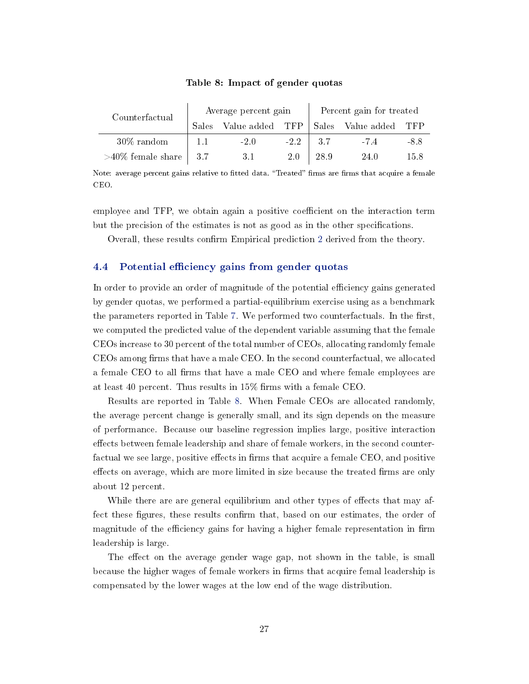<span id="page-27-1"></span>

| Counterfactual       |     | Average percent gain  |        |              | Percent gain for treated |      |
|----------------------|-----|-----------------------|--------|--------------|--------------------------|------|
|                      |     | Sales Value added TFP |        |              | Sales Value added TFP    |      |
| $30\%$ random        |     | $-2.0$                | $-2.2$ | $\sqrt{3.7}$ | $-7.4$                   | -8.8 |
| $>40\%$ female share | 3.7 | 3.1                   | 2.0    | -28.9        | 24 O                     | 15.8 |

#### Table 8: Impact of gender quotas

Note: average percent gains relative to fitted data. "Treated" firms are firms that acquire a female CEO.

employee and TFP, we obtain again a positive coefficient on the interaction term but the precision of the estimates is not as good as in the other specifications.

Overall, these results confirm Empirical prediction [2](#page-9-1) derived from the theory.

## 4.4 Potential efficiency gains from gender quotas

In order to provide an order of magnitude of the potential efficiency gains generated by gender quotas, we performed a partial-equilibrium exercise using as a benchmark the parameters reported in Table [7.](#page-26-0) We performed two counterfactuals. In the first, we computed the predicted value of the dependent variable assuming that the female CEOs increase to 30 percent of the total number of CEOs, allocating randomly female CEOs among firms that have a male CEO. In the second counterfactual, we allocated a female CEO to all firms that have a male CEO and where female employees are at least 40 percent. Thus results in  $15\%$  firms with a female CEO.

Results are reported in Table [8.](#page-27-1) When Female CEOs are allocated randomly, the average percent change is generally small, and its sign depends on the measure of performance. Because our baseline regression implies large, positive interaction effects between female leadership and share of female workers, in the second counterfactual we see large, positive effects in firms that acquire a female CEO, and positive effects on average, which are more limited in size because the treated firms are only about 12 percent.

While there are are general equilibrium and other types of effects that may affect these figures, these results confirm that, based on our estimates, the order of magnitude of the efficiency gains for having a higher female representation in firm leadership is large.

<span id="page-27-0"></span>The effect on the average gender wage gap, not shown in the table, is small because the higher wages of female workers in firms that acquire femal leadership is compensated by the lower wages at the low end of the wage distribution.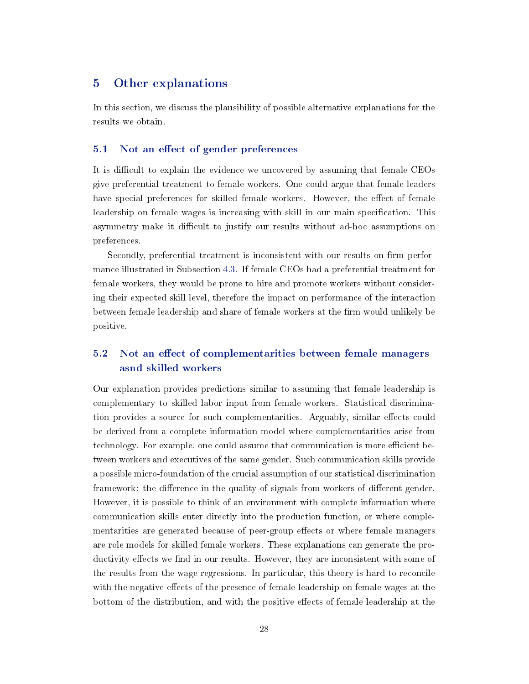## 5 Other explanations

In this section, we discuss the plausibility of possible alternative explanations for the results we obtain.

### 5.1 Not an effect of gender preferences

It is difficult to explain the evidence we uncovered by assuming that female CEOs give preferential treatment to female workers. One could argue that female leaders have special preferences for skilled female workers. However, the effect of female leadership on female wages is increasing with skill in our main specification. This asymmetry make it difficult to justify our results without ad-hoc assumptions on preferences.

Secondly, preferential treatment is inconsistent with our results on firm performance illustrated in Subsection [4.3.](#page-24-0) If female CEOs had a preferential treatment for female workers, they would be prone to hire and promote workers without considering their expected skill level, therefore the impact on performance of the interaction between female leadership and share of female workers at the firm would unlikely be positive.

# 5.2 Not an effect of complementarities between female managers asnd skilled workers

Our explanation provides predictions similar to assuming that female leadership is complementary to skilled labor input from female workers. Statistical discrimination provides a source for such complementarities. Arguably, similar effects could be derived from a complete information model where complementarities arise from technology. For example, one could assume that communication is more efficient between workers and executives of the same gender. Such communication skills provide a possible micro-foundation of the crucial assumption of our statistical discrimination framework: the difference in the quality of signals from workers of different gender. However, it is possible to think of an environment with complete information where communication skills enter directly into the production function, or where complementarities are generated because of peer-group effects or where female managers are role models for skilled female workers. These explanations can generate the productivity effects we find in our results. However, they are inconsistent with some of the results from the wage regressions. In particular, this theory is hard to reconcile with the negative effects of the presence of female leadership on female wages at the bottom of the distribution, and with the positive effects of female leadership at the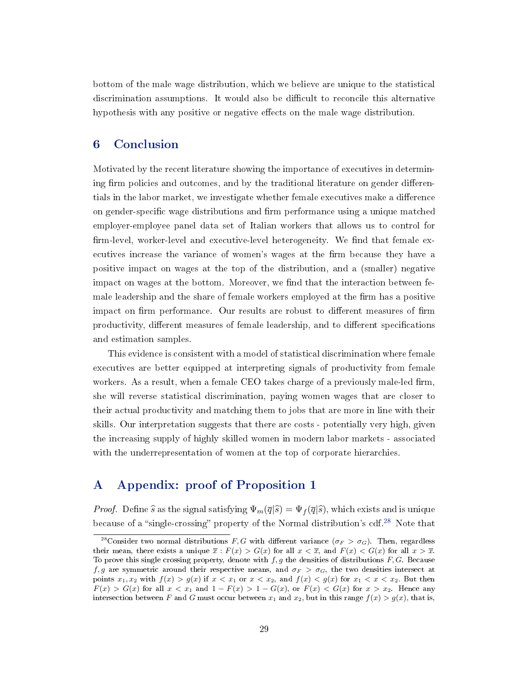bottom of the male wage distribution, which we believe are unique to the statistical discrimination assumptions. It would also be difficult to reconcile this alternative hypothesis with any positive or negative effects on the male wage distribution.

# <span id="page-29-0"></span>6 Conclusion

Motivated by the recent literature showing the importance of executives in determining firm policies and outcomes, and by the traditional literature on gender differentials in the labor market, we investigate whether female executives make a difference on gender-specific wage distributions and firm performance using a unique matched employer-employee panel data set of Italian workers that allows us to control for firm-level, worker-level and executive-level heterogeneity. We find that female executives increase the variance of women's wages at the firm because they have a positive impact on wages at the top of the distribution, and a (smaller) negative impact on wages at the bottom. Moreover, we find that the interaction between female leadership and the share of female workers employed at the firm has a positive impact on firm performance. Our results are robust to different measures of firm productivity, different measures of female leadership, and to different specifications and estimation samples.

This evidence is consistent with a model of statistical discrimination where female executives are better equipped at interpreting signals of productivity from female workers. As a result, when a female CEO takes charge of a previously male-led firm, she will reverse statistical discrimination, paying women wages that are closer to their actual productivity and matching them to jobs that are more in line with their skills. Our interpretation suggests that there are costs - potentially very high, given the increasing supply of highly skilled women in modern labor markets - associated with the underrepresentation of women at the top of corporate hierarchies.

# A Appendix: proof of Proposition [1](#page-6-1)

*Proof.* Define  $\hat{s}$  as the signal satisfying  $\Psi_m(\overline{q}|\hat{s}) = \Psi_f(\overline{q}|\hat{s})$ , which exists and is unique because of a "single-crossing" property of the Normal distribution's cdf.<sup>[28](#page-29-1)</sup> Note that

<span id="page-29-1"></span><sup>&</sup>lt;sup>28</sup>Consider two normal distributions F, G with different variance  $(\sigma_F > \sigma_G)$ . Then, regardless their mean, there exists a unique  $\overline{x}$ :  $F(x) > G(x)$  for all  $x < \overline{x}$ , and  $F(x) < G(x)$  for all  $x > \overline{x}$ . To prove this single crossing property, denote with  $f, g$  the densities of distributions  $F, G$ . Because f, g are symmetric around their respective means, and  $\sigma_F > \sigma_G$ , the two densities intersect at points  $x_1, x_2$  with  $f(x) > g(x)$  if  $x < x_1$  or  $x < x_2$ , and  $f(x) < g(x)$  for  $x_1 < x < x_2$ . But then  $F(x) > G(x)$  for all  $x < x_1$  and  $1 - F(x) > 1 - G(x)$ , or  $F(x) < G(x)$  for  $x > x_2$ . Hence any intersection between F and G must occur between  $x_1$  and  $x_2$ , but in this range  $f(x) > g(x)$ , that is,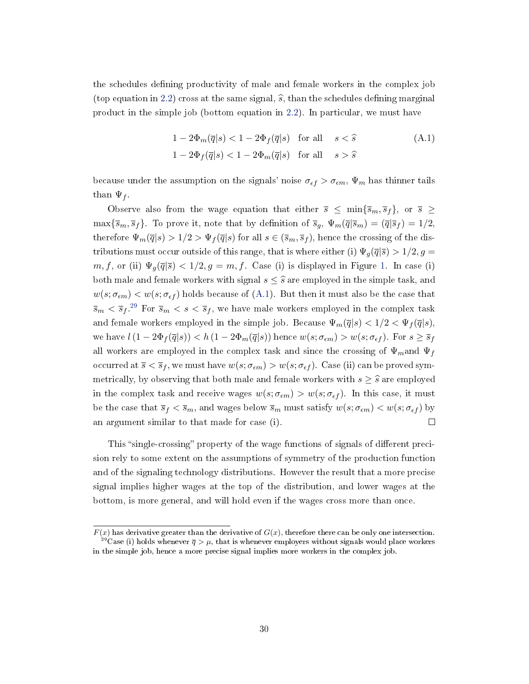the schedules defining productivity of male and female workers in the complex job (top equation in [2.2\)](#page-6-2) cross at the same signal,  $\hat{s}$ , than the schedules defining marginal product in the simple job (bottom equation in [2.2\)](#page-6-2). In particular, we must have

<span id="page-30-0"></span>
$$
1 - 2\Phi_m(\overline{q}|s) < 1 - 2\Phi_f(\overline{q}|s) \quad \text{for all} \quad s < \widehat{s} \tag{A.1}
$$
\n
$$
1 - 2\Phi_f(\overline{q}|s) < 1 - 2\Phi_m(\overline{q}|s) \quad \text{for all} \quad s > \widehat{s}
$$

because under the assumption on the signals' noise  $\sigma_{\epsilon f} > \sigma_{\epsilon m}$ ,  $\Psi_m$  has thinner tails than  $\Psi_f$ .

Observe also from the wage equation that either  $\bar{s} \leq \min\{\bar{s}_m, \bar{s}_f\}$ , or  $\bar{s} \geq$  $\max{\{\overline{s}_m, \overline{s}_f\}}$ . To prove it, note that by definition of  $\overline{s}_g$ ,  $\Psi_m(\overline{q}|\overline{s}_m) = (\overline{q}|\overline{s}_f) = 1/2$ , therefore  $\Psi_m(\overline{q}|s) > 1/2 > \Psi_f(\overline{q}|s)$  for all  $s \in (\overline{s}_m, \overline{s}_f)$ , hence the crossing of the distributions must occur outside of this range, that is where either (i)  $\Psi_q(\bar{q}|\bar{s}) > 1/2, g =$  $m, f$ , or (ii)  $\Psi_q(\overline{q}|\overline{s}) < 1/2, g = m, f$ . Case (i) is displayed in Figure [1.](#page-6-0) In case (i) both male and female workers with signal  $s \leq \hat{s}$  are employed in the simple task, and  $w(s; \sigma_{\epsilon m}) < w(s; \sigma_{\epsilon f})$  holds because of [\(A.1\)](#page-30-0). But then it must also be the case that  $\overline{s}_m < \overline{s}_f$ .<sup>[29](#page-30-1)</sup> For  $\overline{s}_m < s < \overline{s}_f$ , we have male workers employed in the complex task and female workers employed in the simple job. Because  $\Psi_m(\overline{q}|s) < 1/2 < \Psi_f(\overline{q}|s)$ , we have  $l(1 - 2\Phi_f(\overline{q}|s)) < h(1 - 2\Phi_m(\overline{q}|s))$  hence  $w(s; \sigma_{\epsilon m}) > w(s; \sigma_{\epsilon f})$ . For  $s \geq \overline{s}_f$ all workers are employed in the complex task and since the crossing of  $\Psi_m$  and  $\Psi_f$ occurred at  $\overline{s} < \overline{s}_f$ , we must have  $w(s; \sigma_{\epsilon m}) > w(s; \sigma_{\epsilon f})$ . Case (ii) can be proved symmetrically, by observing that both male and female workers with  $s \geq \hat{s}$  are employed in the complex task and receive wages  $w(s; \sigma_{\epsilon m}) > w(s; \sigma_{\epsilon f})$ . In this case, it must be the case that  $\bar{s}_f < \bar{s}_m$ , and wages below  $\bar{s}_m$  must satisfy  $w(s; \sigma_{\epsilon m}) < w(s; \sigma_{\epsilon f})$  by an argument similar to that made for case (i).  $\Box$ 

This "single-crossing" property of the wage functions of signals of different precision rely to some extent on the assumptions of symmetry of the production function and of the signaling technology distributions. However the result that a more precise signal implies higher wages at the top of the distribution, and lower wages at the bottom, is more general, and will hold even if the wages cross more than once.

<span id="page-30-1"></span> $F(x)$  has derivative greater than the derivative of  $G(x)$ , therefore there can be only one intersection.  $^{29}{\rm Case}$  (i) holds whenever  $\overline{q} > \mu$ , that is whenever employers without signals would place workers in the simple job, hence a more precise signal implies more workers in the complex job.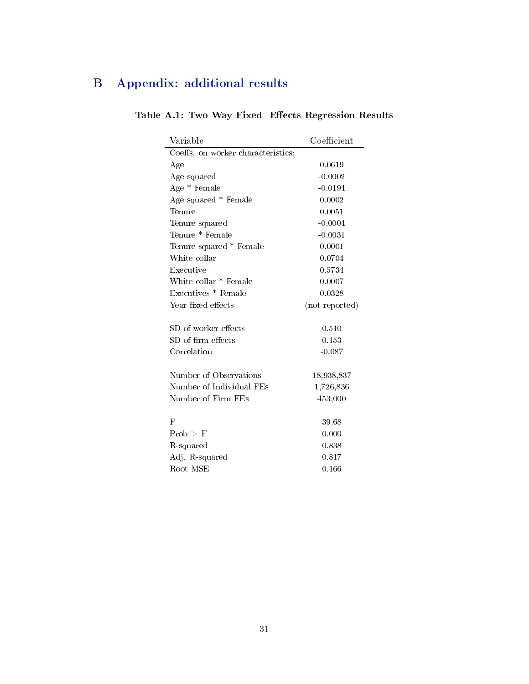# <span id="page-31-0"></span>B Appendix: additional results

| Variable                           | Coefficient    |
|------------------------------------|----------------|
| Coeffs. on worker characteristics: |                |
| Age                                | 0.0619         |
| Age squared                        | $-0.0002$      |
| Age * Female                       | $-0.0194$      |
| Age squared * Female               | 0.0002         |
| Tenure                             | 0.0051         |
| Tenure squared                     | $-0.0004$      |
| Tenure * Female                    | $-0.0031$      |
| Tenure squared * Female            | 0.0001         |
| White collar                       | 0.0704         |
| Executive                          | 0.5734         |
| White collar * Female              | 0.0007         |
| Executives * Female                | 0.0328         |
| Year fixed effects                 | (not reported) |
|                                    |                |
| SD of worker effects               | 0.510          |
| $SD$ of firm effects               | 0.153          |
| Correlation                        | $-0.087$       |
| Number of Observations             | 18,938,837     |
| Number of Individual FEs           | 1,726,836      |
| Number of Firm FEs                 | 453,000        |
|                                    |                |
| $_{\rm F}$                         | 39.68          |
| Prob > F                           | 0.000          |
| R-squared                          | 0.838          |
| Adj R-squared                      | 0.817          |
| Root MSE                           | 0.166          |

# Table A.1: Two-Way Fixed Effects Regression Results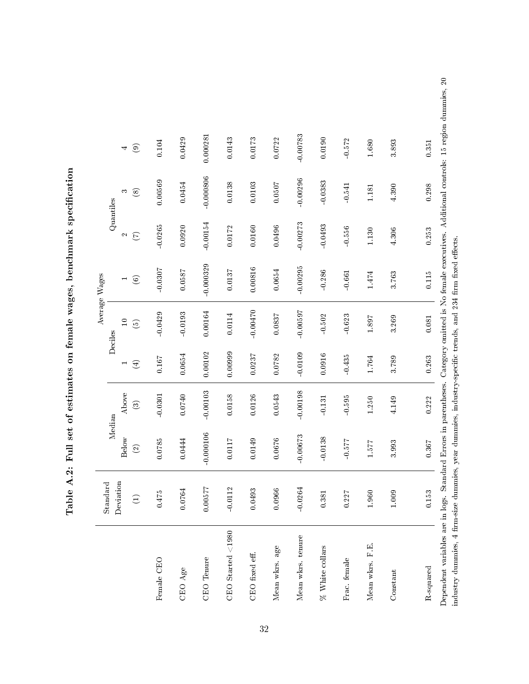Table A.2: Full set of estimates on female wages, benchmark specification Table A.2: Full set of estimates on female wages, benchmark specification

|                                                                                                            | Standard  |                          |            |             |                          | Average Wages |                |             |                                                                                                                                                       |
|------------------------------------------------------------------------------------------------------------|-----------|--------------------------|------------|-------------|--------------------------|---------------|----------------|-------------|-------------------------------------------------------------------------------------------------------------------------------------------------------|
|                                                                                                            |           | Median                   |            |             | Deciles                  |               | Quantiles      |             |                                                                                                                                                       |
|                                                                                                            | Deviation | Below                    | Above      |             | $\overline{10}$          |               | Z              | S           | 4                                                                                                                                                     |
|                                                                                                            |           | $\widehat{\mathfrak{D}}$ | $\odot$    | $\bigoplus$ | $\widehat{\mathfrak{S}}$ | $\odot$       | $\mathfrak{S}$ | $\circledS$ | $\odot$                                                                                                                                               |
| Female CEO                                                                                                 | 0.475     | 0.0785                   | $-0.0301$  | 0.167       | $-0.0429$                | $-0.0307$     | $-0.0265$      | 0.00569     | 0.104                                                                                                                                                 |
| CEO Age                                                                                                    | 0.0764    | 0.0444                   | 0.0740     | 0.0654      | $-0.0193$                | 0.0587        | 0.0920         | 0.0454      | 0.0429                                                                                                                                                |
| CEO Tenure                                                                                                 | 0.00577   | 0.000106                 | $-0.00103$ | 0.00102     | 0.00164                  | 0.000329      | $-0.00154$     | 0.000806    | 0.000281                                                                                                                                              |
| CEO Started <1980                                                                                          | $-0.0112$ | 0.0117                   | 0.0158     | 0.00999     | 0.0114                   | 0.0137        | 0.0172         | 0.0138      | 0.0143                                                                                                                                                |
| CEO fixed eff.                                                                                             | 0.0493    | 0.0149                   | 0.0126     | 0.0237      | $-0.00470$               | 0.00816       | 0.0160         | 0.0103      | $0.0173\,$                                                                                                                                            |
| Mean wkrs. age                                                                                             | 0.0966    | 0.0676                   | 0.0543     | 0.0782      | 0.0837                   | 0.0654        | 0.0496         | 0.0507      | 0.0722                                                                                                                                                |
| Mean wkrs. tenure                                                                                          | $-0.0264$ | $-0.00673$               | $-0.00198$ | $-0.0109$   | $-0.00597$               | $-0.00295$    | $-0.00273$     | $-0.00296$  | $-0.00783$                                                                                                                                            |
| % White collars                                                                                            | 0.381     | $-0.0138$                | $-0.131$   | 0.0916      | $-0.502$                 | $-0.286$      | $-0.0493$      | 0.0383      | 0.0190                                                                                                                                                |
| Frac. female                                                                                               | 0.227     | <b>175.0</b>             | $-0.595$   | $-0.435$    | $-0.623$                 | $-0.661$      | $-0.556$       | $-0.541$    | 0.572                                                                                                                                                 |
| Mean wkrs. F.E.                                                                                            | 1.960     | 1.577                    | 1.250      | 1.764       | 1.897                    | 1.474         | 1.130          | 1.181       | 1.680                                                                                                                                                 |
| Constant                                                                                                   | 1.009     | 3.993                    | 4.149      | 3.789       | 3.269                    | 3.763         | 4.306          | 4.390       | 3.893                                                                                                                                                 |
| R-squared                                                                                                  | 0.153     | 0.367                    | 0.222      | 0.263       | 0.081                    | 0.115         | 0.253          | 0.298       | 0.351                                                                                                                                                 |
| industry dummies, 4 firm-size dummies, year dummies, industry-specific trends, and 234 firm fixed effects. |           |                          |            |             |                          |               |                |             | Dependent variables are in logs. Standard Errors in parentheses. Category omitted is No female executives. Additional controls: 15 region dummies, 20 |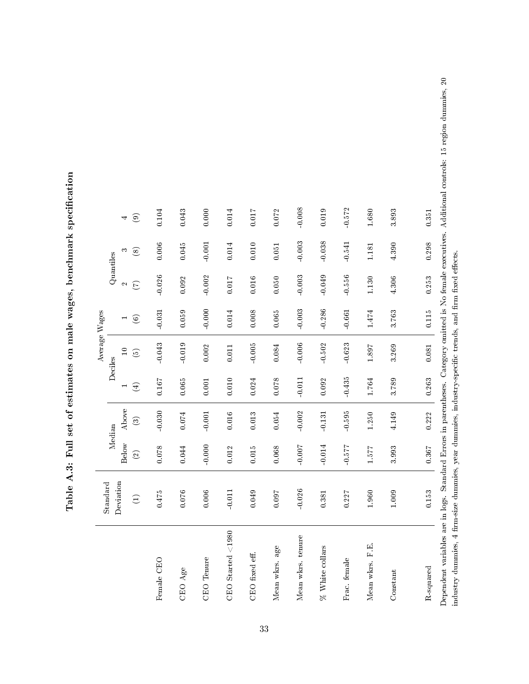Table A.3: Full set of estimates on male wages, benchmark specification Table A.3: Full set of estimates on male wages, benchmark specification

|                                        |                 |                |          |             | Average Wages                                                   |                |                    |             |                                                                                                                                                       |
|----------------------------------------|-----------------|----------------|----------|-------------|-----------------------------------------------------------------|----------------|--------------------|-------------|-------------------------------------------------------------------------------------------------------------------------------------------------------|
|                                        | Standard        |                | Median   |             | Deciles                                                         |                | Quantiles          |             |                                                                                                                                                       |
|                                        | Deviation       | <b>Below</b>   | Above    |             | $\Box$                                                          | $\blacksquare$ | $\mathbf{\hat{z}}$ | S           | 4                                                                                                                                                     |
|                                        | $\widehat{\Xi}$ | $\odot$        | $\odot$  | $\bigoplus$ | $\widehat{\mathfrak{S}}$                                        | $\circledcirc$ | E                  | $\circledS$ | $\odot$                                                                                                                                               |
| Female CEO                             | 0.475           | 0.078          | $-0.030$ | 0.167       | $-0.043$                                                        | $-0.031$       | $-0.026$           | 0.006       | 0.104                                                                                                                                                 |
| CEO Age                                | 0.076           | 0.044          | 0.074    | 0.065       | $-0.019$                                                        | 0.059          | 0.092              | 0.045       | 0.043                                                                                                                                                 |
| CEO Tenure                             | 0.006           | $-0.000$       | $-0.001$ | 0.001       | 0.002                                                           | $-0.000$       | $-0.002$           | $-0.001$    | 0.000                                                                                                                                                 |
| CEO Started $<$ 1980                   | $-0.011$        | 0.012          | 0.016    | 0.010       | 0.011                                                           | 0.014          | 0.017              | 0.014       | 0.014                                                                                                                                                 |
| CEO fixed eff.                         | 0.049           | 0.015          | 0.013    | 0.024       | $-0.005$                                                        | 0.008          | 0.016              | 0.010       | 0.017                                                                                                                                                 |
| Mean wkrs. age                         | 760.0           | 0.068          | 0.054    | 0.078       | 0.084                                                           | 0.065          | 0.050              | 0.051       | 0.072                                                                                                                                                 |
| Mean wkrs. tenure                      | $-0.026$        | $-0.007$       | $-0.002$ | $-0.011$    | $-0.006$                                                        | $-0.003$       | $-0.003$           | $-0.003$    | $-0.008$                                                                                                                                              |
| % White collars                        | 0.381           | $-0.014$       | $-0.131$ | 0.092       | $-0.502$                                                        | $-0.286$       | $-0.049$           | $-0.038$    | 0.019                                                                                                                                                 |
| Frac. female                           | 0.227           | $12.2 \cdot 0$ | 0.595    | $-0.435$    | $-0.623$                                                        | $-0.661$       | $-0.556$           | $-0.541$    | $-0.572$                                                                                                                                              |
| Mean wkrs. F.E.                        | 1.960           | 1.577          | 1.250    | 1.764       | 1.897                                                           | 1.474          | $1.130\,$          | 1.181       | 1.680                                                                                                                                                 |
| Constant                               | 1.009           | 3.993          | 4.149    | 3.789       | 3.269                                                           | 3.763          | 4.306              | 4.390       | 3.893                                                                                                                                                 |
| R-squared                              | 0.153           | 0.367          | 0.222    | 0.263       | 0.081                                                           | $0.115\,$      | 0.253              | 0.298       | 0.351                                                                                                                                                 |
| industry dummies, 4 firm-size dummies, |                 |                |          |             | year dummies, industry-specific trends, and firm fixed effects. |                |                    |             | Dependent variables are in logs. Standard Errors in parentheses. Category omitted is No female executives. Additional controls: 15 region dummies, 20 |

33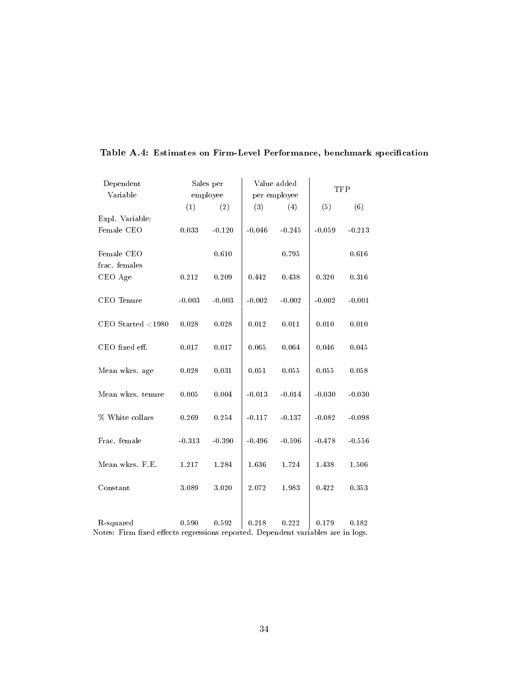| Dependent                                                                                     |          | Sales per |          | Value added  | TFP      |          |
|-----------------------------------------------------------------------------------------------|----------|-----------|----------|--------------|----------|----------|
| Variable                                                                                      |          | employee  |          | per employee |          |          |
|                                                                                               | (1)      | (2)       | (3)      | (4)          | (5)      | (6)      |
| Expl. Variable:                                                                               |          |           |          |              |          |          |
| Female CEO                                                                                    | 0.033    | $-0.120$  | $-0.046$ | $-0.245$     | $-0.059$ | $-0.213$ |
| Female CEO<br>frac. females                                                                   |          | 0.610     |          | 0.795        |          | 0.616    |
| CEO Age                                                                                       | 0.212    | 0.209     | 0.442    | 0.438        | 0.320    | 0.316    |
| CEO Tenure                                                                                    | $-0.003$ | $-0.003$  | $-0.002$ | $-0.002$     | $-0.002$ | $-0.001$ |
| CEO Started $<$ 1980                                                                          | 0.028    | 0.028     | 0.012    | 0.011        | 0.010    | 0.010    |
| CEO fixed eff.                                                                                | 0.017    | 0.017     | 0.065    | 0.064        | 0.046    | 0.045    |
| Mean wkrs. age                                                                                | 0.028    | 0.031     | 0.051    | 0.055        | 0.055    | 0.058    |
| Mean wkrs. tenure                                                                             | 0.005    | 0.004     | $-0.013$ | $-0.014$     | $-0.030$ | $-0.030$ |
| % White collars                                                                               | 0.269    | 0.254     | $-0.117$ | $-0.137$     | $-0.082$ | $-0.098$ |
| Frac. female                                                                                  | $-0.313$ | $-0.390$  | $-0.496$ | $-0.596$     | $-0.478$ | $-0.556$ |
| Mean wkrs. F.E.                                                                               | 1.217    | 1.284     | 1.636    | 1.724        | 1.438    | 1.506    |
| Constant                                                                                      | 3.089    | 3.020     | 2.072    | 1.983        | 0.422    | 0.353    |
|                                                                                               |          |           |          |              |          |          |
| R-squared<br>Notes: Firm fixed effects regressions reported. Dependent variables are in logs. | 0.590    | 0.592     | 0.218    | 0.222        | 0.179    | 0.182    |
|                                                                                               |          |           |          |              |          |          |

# Table A.4: Estimates on Firm-Level Performance, benchmark specification

34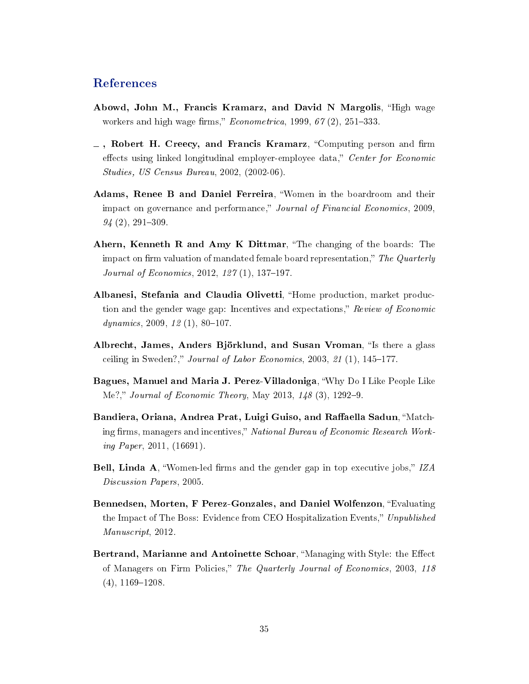# References

- <span id="page-35-5"></span>Abowd, John M., Francis Kramarz, and David N Margolis, "High wage workers and high wage firms,"  $Econometrica$ , 1999, 67(2), 251–333.
- <span id="page-35-6"></span> $\overline{\phantom{a}}$ , Robert H. Creecy, and Francis Kramarz, "Computing person and firm effects using linked longitudinal employer-employee data," Center for Economic Studies, US Census Bureau, 2002, (2002-06).
- <span id="page-35-9"></span>Adams, Renee B and Daniel Ferreira, Women in the boardroom and their impact on governance and performance," Journal of Financial Economics, 2009,  $94(2), 291-309.$
- <span id="page-35-3"></span>Ahern, Kenneth R and Amy K Dittmar, "The changing of the boards: The impact on firm valuation of mandated female board representation," The Quarterly *Journal of Economics*,  $2012$ ,  $127(1)$ ,  $137-197$ .
- <span id="page-35-8"></span>Albanesi, Stefania and Claudia Olivetti, "Home production, market production and the gender wage gap: Incentives and expectations," Review of Economic dynamics, 2009,  $12(1)$ , 80-107.
- <span id="page-35-4"></span>Albrecht, James, Anders Björklund, and Susan Vroman, "Is there a glass ceiling in Sweden?," Journal of Labor Economics, 2003, 21 $(1)$ , 145-177.
- <span id="page-35-10"></span>Bagues, Manuel and Maria J. Perez-Villadoniga, Why Do I Like People Like Me?," Journal of Economic Theory, May 2013,  $148(3)$ , 1292-9.
- <span id="page-35-2"></span>Bandiera, Oriana, Andrea Prat, Luigi Guiso, and Raffaella Sadun, "Matching firms, managers and incentives," National Bureau of Economic Research Working Paper, 2011, (16691).
- <span id="page-35-7"></span>Bell, Linda A, "Women-led firms and the gender gap in top executive jobs,"  $IZA$ Discussion Papers, 2005.
- <span id="page-35-1"></span>Bennedsen, Morten, F Perez-Gonzales, and Daniel Wolfenzon, "Evaluating the Impact of The Boss: Evidence from CEO Hospitalization Events," Unpublished Manuscript, 2012.
- <span id="page-35-0"></span>Bertrand, Marianne and Antoinette Schoar, "Managing with Style: the Effect of Managers on Firm Policies," The Quarterly Journal of Economics, 2003, 118  $(4), 1169-1208.$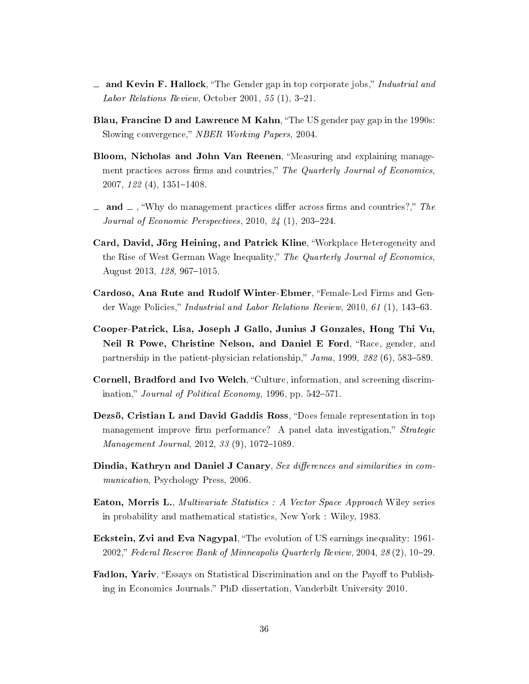- <span id="page-36-4"></span> $\equiv$  and Kevin F. Hallock, "The Gender gap in top corporate jobs," Industrial and *Labor Relations Review*, October 2001,  $55(1)$ , 3-21.
- <span id="page-36-2"></span>Blau, Francine D and Lawrence M Kahn, "The US gender pay gap in the 1990s: Slowing convergence," NBER Working Papers, 2004.
- <span id="page-36-0"></span>Bloom, Nicholas and John Van Reenen, "Measuring and explaining management practices across firms and countries," The Quarterly Journal of Economics,  $2007, 122 (4), 1351 - 1408.$
- <span id="page-36-1"></span> $\Delta$  and  $\Delta$ , "Why do management practices differ across firms and countries?," The Journal of Economic Perspectives,  $2010, 24$  (1),  $203-224$ .
- <span id="page-36-12"></span>Card, David, Jörg Heining, and Patrick Kline, Workplace Heterogeneity and the Rise of West German Wage Inequality," The Quarterly Journal of Economics, August 2013, 128, 967-1015.
- <span id="page-36-6"></span>Cardoso, Ana Rute and Rudolf Winter-Ebmer, "Female-Led Firms and Gender Wage Policies," Industrial and Labor Relations Review, 2010, 61  $(1)$ , 143–63.
- <span id="page-36-11"></span>Cooper-Patrick, Lisa, Joseph J Gallo, Junius J Gonzales, Hong Thi Vu, Neil R Powe, Christine Nelson, and Daniel E Ford, "Race, gender, and partnership in the patient-physician relationship,"  $Jama$ , 1999, 282 (6), 583-589.
- <span id="page-36-7"></span>Cornell, Bradford and Ivo Welch, "Culture, information, and screening discrimination," Journal of Political Economy, 1996, pp.  $542-571$ .
- <span id="page-36-5"></span>Dezsö, Cristian L and David Gaddis Ross, "Does female representation in top management improve firm performance? A panel data investigation," Strategic  $Management\ Journal, 2012, 33 (9), 1072-1089.$
- <span id="page-36-10"></span>Dindia, Kathryn and Daniel J Canary, Sex differences and similarities in communication, Psychology Press, 2006.
- <span id="page-36-9"></span>Eaton, Morris L., Multivariate Statistics : A Vector Space Approach Wiley series in probability and mathematical statistics, New York : Wiley, 1983.
- <span id="page-36-3"></span>Eckstein, Zvi and Eva Nagypal, The evolution of US earnings inequality: 1961- 2002," Federal Reserve Bank of Minneapolis Quarterly Review, 2004, 28 (2), 10–29.
- <span id="page-36-8"></span>Fadlon, Yariv, "Essays on Statistical Discrimination and on the Payoff to Publishing in Economics Journals." PhD dissertation, Vanderbilt University 2010.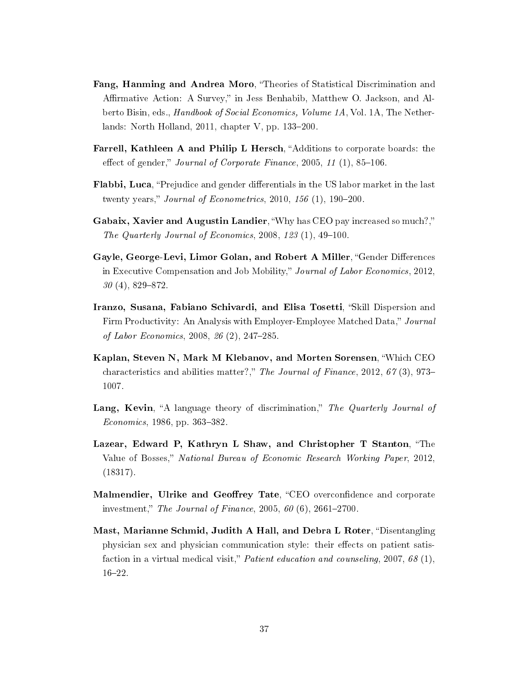- <span id="page-37-7"></span>Fang, Hanming and Andrea Moro, "Theories of Statistical Discrimination and Affirmative Action: A Survey," in Jess Benhabib, Matthew O. Jackson, and Alberto Bisin, eds., Handbook of Social Economics, Volume 1A, Vol. 1A, The Netherlands: North Holland,  $2011$ , chapter V, pp.  $133-200$ .
- <span id="page-37-6"></span>Farrell, Kathleen A and Philip L Hersch, "Additions to corporate boards: the effect of gender," Journal of Corporate Finance, 2005, 11 $(1)$ , 85-106.
- <span id="page-37-4"></span>Flabbi, Luca, "Prejudice and gender differentials in the US labor market in the last twenty years," Journal of Econometrics, 2010, 156  $(1)$ , 190-200.
- <span id="page-37-3"></span>Gabaix, Xavier and Augustin Landier, "Why has CEO pay increased so much?," The Quarterly Journal of Economics,  $2008$ ,  $123$  (1),  $49-100$ .
- <span id="page-37-5"></span>Gayle, George-Levi, Limor Golan, and Robert A Miller, "Gender Differences in Executive Compensation and Job Mobility," Journal of Labor Economics, 2012,  $30(4)$ , 829-872.
- <span id="page-37-10"></span>Iranzo, Susana, Fabiano Schivardi, and Elisa Tosetti, "Skill Dispersion and Firm Productivity: An Analysis with Employer-Employee Matched Data," Journal of Labor Economics,  $2008, 26(2), 247-285$ .
- <span id="page-37-0"></span>Kaplan, Steven N, Mark M Klebanov, and Morten Sorensen, Which CEO characteristics and abilities matter?," The Journal of Finance, 2012, 67(3), 973– 1007.
- <span id="page-37-8"></span>Lang, Kevin, "A language theory of discrimination," The Quarterly Journal of  $Economics, 1986, pp. 363-382.$
- <span id="page-37-1"></span>Lazear, Edward P, Kathryn L Shaw, and Christopher T Stanton, "The Value of Bosses," National Bureau of Economic Research Working Paper, 2012, (18317).
- <span id="page-37-2"></span>Malmendier, Ulrike and Geoffrey Tate, "CEO overconfidence and corporate investment," The Journal of Finance, 2005, 60  $(6)$ , 2661–2700.
- <span id="page-37-9"></span>Mast, Marianne Schmid, Judith A Hall, and Debra L Roter, "Disentangling physician sex and physician communication style: their effects on patient satisfaction in a virtual medical visit," *Patient education and counseling*, 2007, 68  $(1)$ ,  $16 - 22$ .